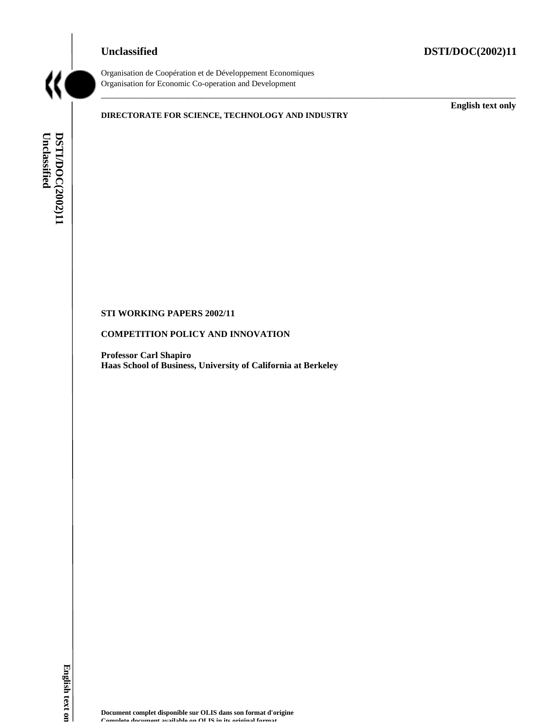# **Unclassified DSTI/DOC(2002)11**

Organisation de Coopération et de Développement Economiques Organisation for Economic Co-operation and Development

#### **DIRECTORATE FOR SCIENCE, TECHNOLOGY AND INDUSTRY**

 $\_$  ,  $\_$  ,  $\_$  ,  $\_$  ,  $\_$  ,  $\_$  ,  $\_$  ,  $\_$  ,  $\_$  ,  $\_$  ,  $\_$  ,  $\_$  ,  $\_$  ,  $\_$  ,  $\_$  ,  $\_$  ,  $\_$  ,  $\_$  ,  $\_$  ,  $\_$  ,  $\_$  ,  $\_$  ,  $\_$  ,  $\_$  ,  $\_$  ,  $\_$  ,  $\_$  ,  $\_$  ,  $\_$  ,  $\_$  ,  $\_$  ,  $\_$  ,  $\_$  ,  $\_$  ,  $\_$  ,  $\_$  ,  $\_$  ,

**English text only**

# DSTI/DOC(2002)11<br>Unclassified **Unclassified DSTI/DOC(2002)11**

#### **STI WORKING PAPERS 2002/11**

**COMPETITION POLICY AND INNOVATION**

**Professor Carl Shapiro Haas School of Business, University of California at Berkeley**

**English text o English text on** 

**Document complet disponible sur OLIS dans son format d'origine** Complete document available on OLIS in its original formation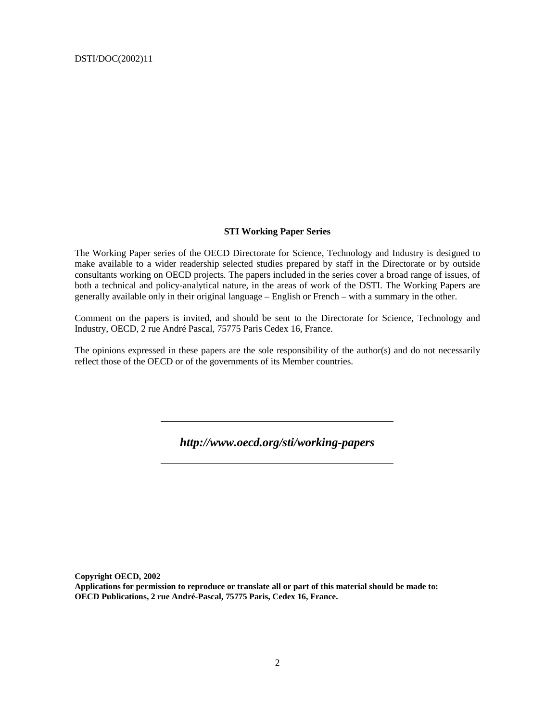#### **STI Working Paper Series**

The Working Paper series of the OECD Directorate for Science, Technology and Industry is designed to make available to a wider readership selected studies prepared by staff in the Directorate or by outside consultants working on OECD projects. The papers included in the series cover a broad range of issues, of both a technical and policy-analytical nature, in the areas of work of the DSTI. The Working Papers are generally available only in their original language – English or French – with a summary in the other.

Comment on the papers is invited, and should be sent to the Directorate for Science, Technology and Industry, OECD, 2 rue André Pascal, 75775 Paris Cedex 16, France.

The opinions expressed in these papers are the sole responsibility of the author(s) and do not necessarily reflect those of the OECD or of the governments of its Member countries.

*http://www.oecd.org/sti/working-papers* 

**Copyright OECD, 2002** 

**Applications for permission to reproduce or translate all or part of this material should be made to: OECD Publications, 2 rue André-Pascal, 75775 Paris, Cedex 16, France.**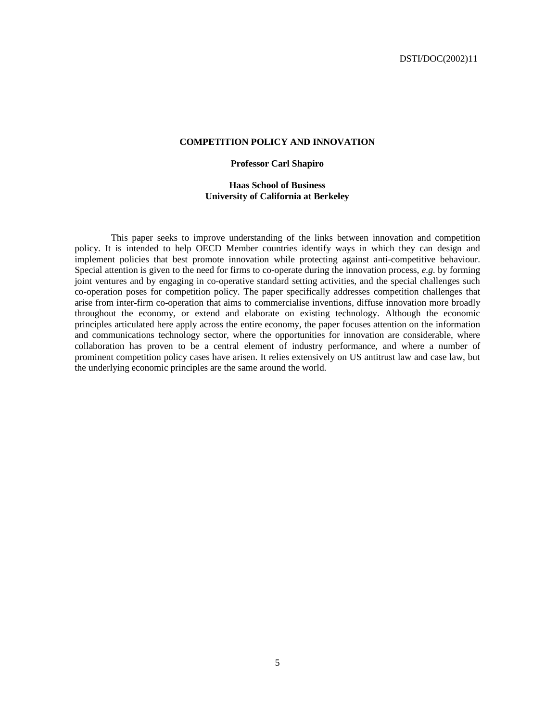#### **COMPETITION POLICY AND INNOVATION**

#### **Professor Carl Shapiro**

#### **Haas School of Business University of California at Berkeley**

 This paper seeks to improve understanding of the links between innovation and competition policy. It is intended to help OECD Member countries identify ways in which they can design and implement policies that best promote innovation while protecting against anti-competitive behaviour. Special attention is given to the need for firms to co-operate during the innovation process, *e.g.* by forming joint ventures and by engaging in co-operative standard setting activities, and the special challenges such co-operation poses for competition policy. The paper specifically addresses competition challenges that arise from inter-firm co-operation that aims to commercialise inventions, diffuse innovation more broadly throughout the economy, or extend and elaborate on existing technology. Although the economic principles articulated here apply across the entire economy, the paper focuses attention on the information and communications technology sector, where the opportunities for innovation are considerable, where collaboration has proven to be a central element of industry performance, and where a number of prominent competition policy cases have arisen. It relies extensively on US antitrust law and case law, but the underlying economic principles are the same around the world.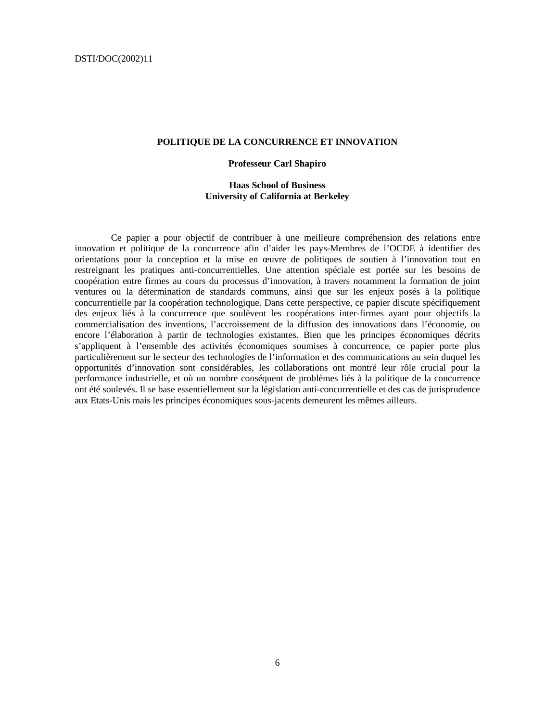#### **POLITIQUE DE LA CONCURRENCE ET INNOVATION**

#### **Professeur Carl Shapiro**

#### **Haas School of Business University of California at Berkeley**

 Ce papier a pour objectif de contribuer à une meilleure compréhension des relations entre innovation et politique de la concurrence afin d'aider les pays-Membres de l'OCDE à identifier des orientations pour la conception et la mise en œuvre de politiques de soutien à l'innovation tout en restreignant les pratiques anti-concurrentielles. Une attention spéciale est portée sur les besoins de coopération entre firmes au cours du processus d'innovation, à travers notamment la formation de joint ventures ou la détermination de standards communs, ainsi que sur les enjeux posés à la politique concurrentielle par la coopération technologique. Dans cette perspective, ce papier discute spécifiquement des enjeux liés à la concurrence que soulèvent les coopérations inter-firmes ayant pour objectifs la commercialisation des inventions, l'accroissement de la diffusion des innovations dans l'économie, ou encore l'élaboration à partir de technologies existantes. Bien que les principes économiques décrits s'appliquent à l'ensemble des activités économiques soumises à concurrence, ce papier porte plus particulièrement sur le secteur des technologies de l'information et des communications au sein duquel les opportunités d'innovation sont considérables, les collaborations ont montré leur rôle crucial pour la performance industrielle, et où un nombre conséquent de problèmes liés à la politique de la concurrence ont été soulevés. Il se base essentiellement sur la législation anti-concurrentielle et des cas de jurisprudence aux Etats-Unis mais les principes économiques sous-jacents demeurent les mêmes ailleurs.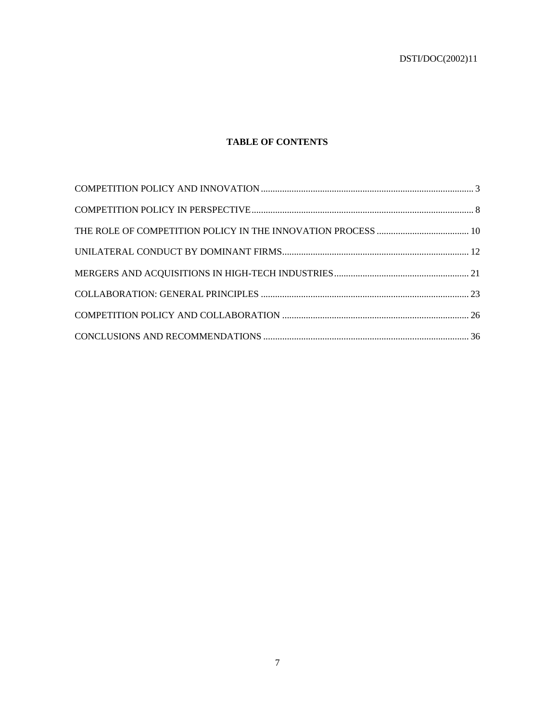# **TABLE OF CONTENTS**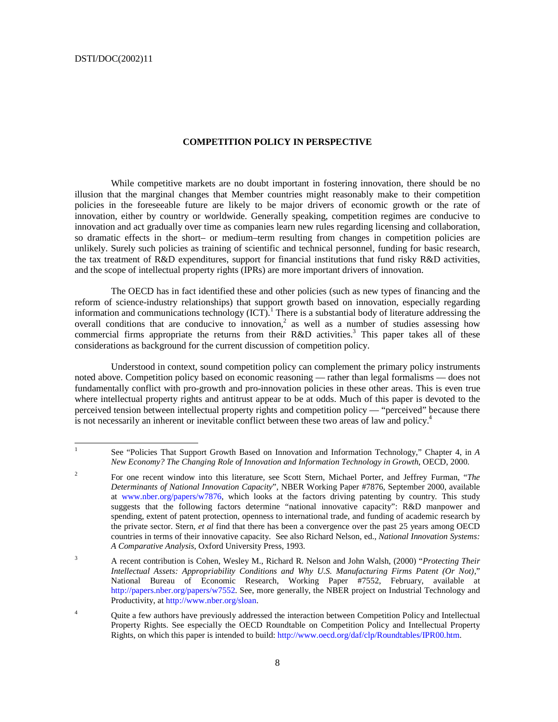#### **COMPETITION POLICY IN PERSPECTIVE**

 While competitive markets are no doubt important in fostering innovation, there should be no illusion that the marginal changes that Member countries might reasonably make to their competition policies in the foreseeable future are likely to be major drivers of economic growth or the rate of innovation, either by country or worldwide. Generally speaking, competition regimes are conducive to innovation and act gradually over time as companies learn new rules regarding licensing and collaboration, so dramatic effects in the short– or medium–term resulting from changes in competition policies are unlikely. Surely such policies as training of scientific and technical personnel, funding for basic research, the tax treatment of R&D expenditures, support for financial institutions that fund risky R&D activities, and the scope of intellectual property rights (IPRs) are more important drivers of innovation.

 The OECD has in fact identified these and other policies (such as new types of financing and the reform of science-industry relationships) that support growth based on innovation, especially regarding information and communications technology  $(ICT)^1$ . There is a substantial body of literature addressing the overall conditions that are conducive to innovation,<sup>2</sup> as well as a number of studies assessing how commercial firms appropriate the returns from their  $R&D$  activities.<sup>3</sup> This paper takes all of these considerations as background for the current discussion of competition policy.

 Understood in context, sound competition policy can complement the primary policy instruments noted above. Competition policy based on economic reasoning — rather than legal formalisms — does not fundamentally conflict with pro-growth and pro-innovation policies in these other areas. This is even true where intellectual property rights and antitrust appear to be at odds. Much of this paper is devoted to the perceived tension between intellectual property rights and competition policy — "perceived" because there is not necessarily an inherent or inevitable conflict between these two areas of law and policy.4

 $\frac{1}{1}$  See "Policies That Support Growth Based on Innovation and Information Technology," Chapter 4, in *A New Economy? The Changing Role of Innovation and Information Technology in Growth*, OECD, 2000.

<sup>2</sup> For one recent window into this literature, see Scott Stern, Michael Porter, and Jeffrey Furman, "*The Determinants of National Innovation Capacity*"*,* NBER Working Paper #7876, September 2000, available at www.nber.org/papers/w7876, which looks at the factors driving patenting by country. This study suggests that the following factors determine "national innovative capacity": R&D manpower and spending, extent of patent protection, openness to international trade, and funding of academic research by the private sector. Stern, *et al* find that there has been a convergence over the past 25 years among OECD countries in terms of their innovative capacity. See also Richard Nelson, ed., *National Innovation Systems: A Comparative Analysis*, Oxford University Press, 1993.

<sup>3</sup> A recent contribution is Cohen, Wesley M., Richard R. Nelson and John Walsh, (2000) "*Protecting Their Intellectual Assets: Appropriability Conditions and Why U.S. Manufacturing Firms Patent (Or Not)*," National Bureau of Economic Research, Working Paper #7552, February, available at http://papers.nber.org/papers/w7552. See, more generally, the NBER project on Industrial Technology and Productivity, at http://www.nber.org/sloan.

<sup>4</sup> Quite a few authors have previously addressed the interaction between Competition Policy and Intellectual Property Rights. See especially the OECD Roundtable on Competition Policy and Intellectual Property Rights, on which this paper is intended to build: http://www.oecd.org/daf/clp/Roundtables/IPR00.htm.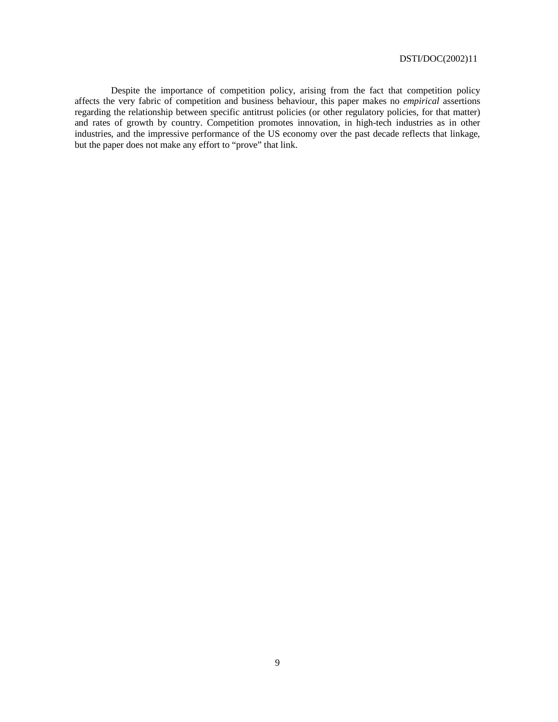Despite the importance of competition policy, arising from the fact that competition policy affects the very fabric of competition and business behaviour, this paper makes no *empirical* assertions regarding the relationship between specific antitrust policies (or other regulatory policies, for that matter) and rates of growth by country. Competition promotes innovation, in high-tech industries as in other industries, and the impressive performance of the US economy over the past decade reflects that linkage, but the paper does not make any effort to "prove" that link.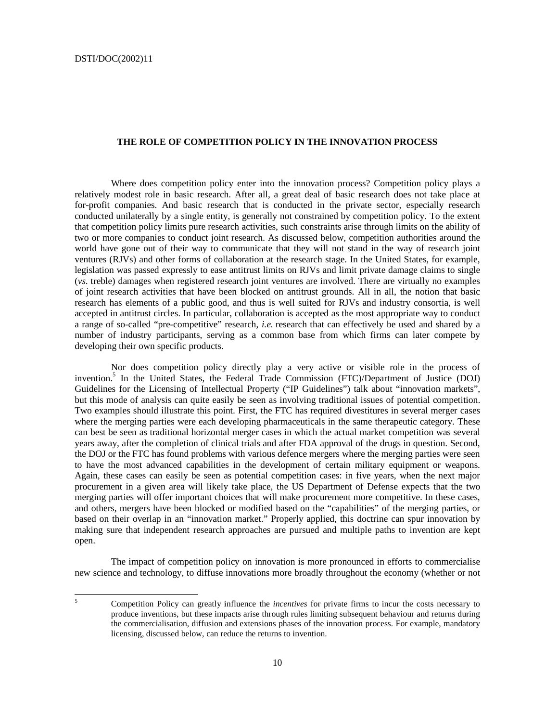#### **THE ROLE OF COMPETITION POLICY IN THE INNOVATION PROCESS**

 Where does competition policy enter into the innovation process? Competition policy plays a relatively modest role in basic research. After all, a great deal of basic research does not take place at for-profit companies. And basic research that is conducted in the private sector, especially research conducted unilaterally by a single entity, is generally not constrained by competition policy. To the extent that competition policy limits pure research activities, such constraints arise through limits on the ability of two or more companies to conduct joint research. As discussed below, competition authorities around the world have gone out of their way to communicate that they will not stand in the way of research joint ventures (RJVs) and other forms of collaboration at the research stage. In the United States, for example, legislation was passed expressly to ease antitrust limits on RJVs and limit private damage claims to single (*vs*. treble) damages when registered research joint ventures are involved. There are virtually no examples of joint research activities that have been blocked on antitrust grounds. All in all, the notion that basic research has elements of a public good, and thus is well suited for RJVs and industry consortia, is well accepted in antitrust circles. In particular, collaboration is accepted as the most appropriate way to conduct a range of so-called "pre-competitive" research, *i.e.* research that can effectively be used and shared by a number of industry participants, serving as a common base from which firms can later compete by developing their own specific products.

 Nor does competition policy directly play a very active or visible role in the process of invention.<sup>5</sup> In the United States, the Federal Trade Commission (FTC)/Department of Justice (DOJ) Guidelines for the Licensing of Intellectual Property ("IP Guidelines") talk about "innovation markets", but this mode of analysis can quite easily be seen as involving traditional issues of potential competition. Two examples should illustrate this point. First, the FTC has required divestitures in several merger cases where the merging parties were each developing pharmaceuticals in the same therapeutic category. These can best be seen as traditional horizontal merger cases in which the actual market competition was several years away, after the completion of clinical trials and after FDA approval of the drugs in question. Second, the DOJ or the FTC has found problems with various defence mergers where the merging parties were seen to have the most advanced capabilities in the development of certain military equipment or weapons. Again, these cases can easily be seen as potential competition cases: in five years, when the next major procurement in a given area will likely take place, the US Department of Defense expects that the two merging parties will offer important choices that will make procurement more competitive. In these cases, and others, mergers have been blocked or modified based on the "capabilities" of the merging parties, or based on their overlap in an "innovation market." Properly applied, this doctrine can spur innovation by making sure that independent research approaches are pursued and multiple paths to invention are kept open.

 The impact of competition policy on innovation is more pronounced in efforts to commercialise new science and technology, to diffuse innovations more broadly throughout the economy (whether or not

<sup>-&</sup>lt;br>5 Competition Policy can greatly influence the *incentives* for private firms to incur the costs necessary to produce inventions, but these impacts arise through rules limiting subsequent behaviour and returns during the commercialisation, diffusion and extensions phases of the innovation process. For example, mandatory licensing, discussed below, can reduce the returns to invention.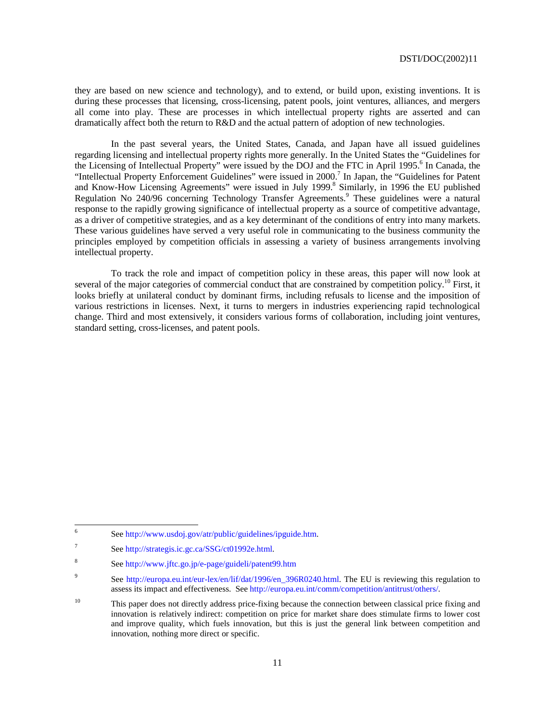they are based on new science and technology), and to extend, or build upon, existing inventions. It is during these processes that licensing, cross-licensing, patent pools, joint ventures, alliances, and mergers all come into play. These are processes in which intellectual property rights are asserted and can dramatically affect both the return to R&D and the actual pattern of adoption of new technologies.

 In the past several years, the United States, Canada, and Japan have all issued guidelines regarding licensing and intellectual property rights more generally. In the United States the "Guidelines for the Licensing of Intellectual Property" were issued by the DOJ and the FTC in April 1995.<sup>6</sup> In Canada, the "Intellectual Property Enforcement Guidelines" were issued in 2000.<sup>7</sup> In Japan, the "Guidelines for Patent and Know-How Licensing Agreements" were issued in July 1999.<sup>8</sup> Similarly, in 1996 the EU published Regulation No 240/96 concerning Technology Transfer Agreements.<sup>9</sup> These guidelines were a natural response to the rapidly growing significance of intellectual property as a source of competitive advantage, as a driver of competitive strategies, and as a key determinant of the conditions of entry into many markets. These various guidelines have served a very useful role in communicating to the business community the principles employed by competition officials in assessing a variety of business arrangements involving intellectual property.

 To track the role and impact of competition policy in these areas, this paper will now look at several of the major categories of commercial conduct that are constrained by competition policy.<sup>10</sup> First, it looks briefly at unilateral conduct by dominant firms, including refusals to license and the imposition of various restrictions in licenses. Next, it turns to mergers in industries experiencing rapid technological change. Third and most extensively, it considers various forms of collaboration, including joint ventures, standard setting, cross-licenses, and patent pools.

<sup>-&</sup>lt;br>6 See http://www.usdoj.gov/atr/public/guidelines/ipguide.htm.

<sup>7</sup> See http://strategis.ic.gc.ca/SSG/ct01992e.html.

<sup>8</sup> See http://www.jftc.go.jp/e-page/guideli/patent99.htm

<sup>9</sup> See http://europa.eu.int/eur-lex/en/lif/dat/1996/en\_396R0240.html. The EU is reviewing this regulation to assess its impact and effectiveness. See http://europa.eu.int/comm/competition/antitrust/others/.

<sup>&</sup>lt;sup>10</sup> This paper does not directly address price-fixing because the connection between classical price fixing and innovation is relatively indirect: competition on price for market share does stimulate firms to lower cost and improve quality, which fuels innovation, but this is just the general link between competition and innovation, nothing more direct or specific.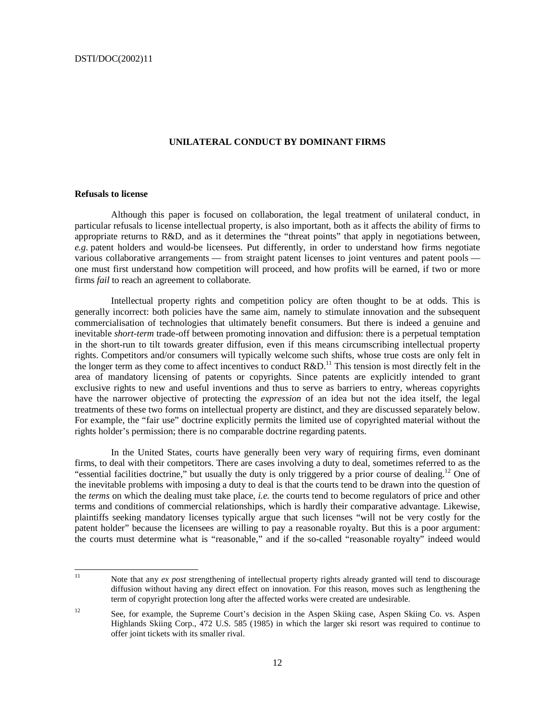#### **UNILATERAL CONDUCT BY DOMINANT FIRMS**

#### **Refusals to license**

 Although this paper is focused on collaboration, the legal treatment of unilateral conduct, in particular refusals to license intellectual property, is also important, both as it affects the ability of firms to appropriate returns to R&D, and as it determines the "threat points" that apply in negotiations between, *e.g*. patent holders and would-be licensees. Put differently, in order to understand how firms negotiate various collaborative arrangements — from straight patent licenses to joint ventures and patent pools one must first understand how competition will proceed, and how profits will be earned, if two or more firms *fail* to reach an agreement to collaborate.

 Intellectual property rights and competition policy are often thought to be at odds. This is generally incorrect: both policies have the same aim, namely to stimulate innovation and the subsequent commercialisation of technologies that ultimately benefit consumers. But there is indeed a genuine and inevitable *short-term* trade-off between promoting innovation and diffusion: there is a perpetual temptation in the short-run to tilt towards greater diffusion, even if this means circumscribing intellectual property rights. Competitors and/or consumers will typically welcome such shifts, whose true costs are only felt in the longer term as they come to affect incentives to conduct  $R&D$ .<sup>11</sup> This tension is most directly felt in the area of mandatory licensing of patents or copyrights. Since patents are explicitly intended to grant exclusive rights to new and useful inventions and thus to serve as barriers to entry, whereas copyrights have the narrower objective of protecting the *expression* of an idea but not the idea itself, the legal treatments of these two forms on intellectual property are distinct, and they are discussed separately below. For example, the "fair use" doctrine explicitly permits the limited use of copyrighted material without the rights holder's permission; there is no comparable doctrine regarding patents.

 In the United States, courts have generally been very wary of requiring firms, even dominant firms, to deal with their competitors. There are cases involving a duty to deal, sometimes referred to as the "essential facilities doctrine," but usually the duty is only triggered by a prior course of dealing.<sup>12</sup> One of the inevitable problems with imposing a duty to deal is that the courts tend to be drawn into the question of the *terms* on which the dealing must take place, *i.e.* the courts tend to become regulators of price and other terms and conditions of commercial relationships, which is hardly their comparative advantage. Likewise, plaintiffs seeking mandatory licenses typically argue that such licenses "will not be very costly for the patent holder" because the licensees are willing to pay a reasonable royalty. But this is a poor argument: the courts must determine what is "reasonable," and if the so-called "reasonable royalty" indeed would

 $11<sup>1</sup>$ 

Note that any *ex post* strengthening of intellectual property rights already granted will tend to discourage diffusion without having any direct effect on innovation. For this reason, moves such as lengthening the term of copyright protection long after the affected works were created are undesirable.

<sup>&</sup>lt;sup>12</sup> See, for example, the Supreme Court's decision in the Aspen Skiing case, Aspen Skiing Co. vs. Aspen Highlands Skiing Corp., 472 U.S. 585 (1985) in which the larger ski resort was required to continue to offer joint tickets with its smaller rival.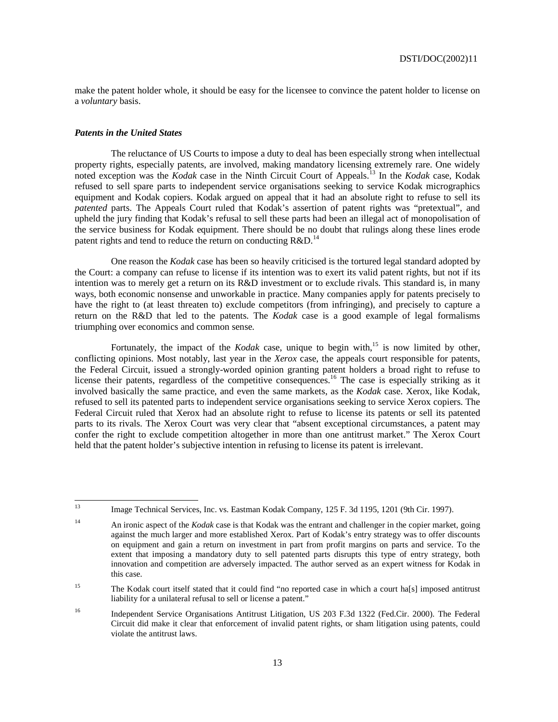make the patent holder whole, it should be easy for the licensee to convince the patent holder to license on a *voluntary* basis.

#### *Patents in the United States*

 The reluctance of US Courts to impose a duty to deal has been especially strong when intellectual property rights, especially patents, are involved, making mandatory licensing extremely rare. One widely noted exception was the *Kodak* case in the Ninth Circuit Court of Appeals.13 In the *Kodak* case, Kodak refused to sell spare parts to independent service organisations seeking to service Kodak micrographics equipment and Kodak copiers. Kodak argued on appeal that it had an absolute right to refuse to sell its *patented* parts. The Appeals Court ruled that Kodak's assertion of patent rights was "pretextual", and upheld the jury finding that Kodak's refusal to sell these parts had been an illegal act of monopolisation of the service business for Kodak equipment. There should be no doubt that rulings along these lines erode patent rights and tend to reduce the return on conducting  $R&D.<sup>14</sup>$ 

 One reason the *Kodak* case has been so heavily criticised is the tortured legal standard adopted by the Court: a company can refuse to license if its intention was to exert its valid patent rights, but not if its intention was to merely get a return on its R&D investment or to exclude rivals. This standard is, in many ways, both economic nonsense and unworkable in practice. Many companies apply for patents precisely to have the right to (at least threaten to) exclude competitors (from infringing), and precisely to capture a return on the R&D that led to the patents. The *Kodak* case is a good example of legal formalisms triumphing over economics and common sense.

Fortunately, the impact of the *Kodak* case, unique to begin with,<sup>15</sup> is now limited by other, conflicting opinions. Most notably, last year in the *Xerox* case, the appeals court responsible for patents, the Federal Circuit, issued a strongly-worded opinion granting patent holders a broad right to refuse to license their patents, regardless of the competitive consequences.<sup>16</sup> The case is especially striking as it involved basically the same practice, and even the same markets, as the *Kodak* case. Xerox, like Kodak, refused to sell its patented parts to independent service organisations seeking to service Xerox copiers. The Federal Circuit ruled that Xerox had an absolute right to refuse to license its patents or sell its patented parts to its rivals. The Xerox Court was very clear that "absent exceptional circumstances, a patent may confer the right to exclude competition altogether in more than one antitrust market." The Xerox Court held that the patent holder's subjective intention in refusing to license its patent is irrelevant.

 $13$ 13 Image Technical Services, Inc. vs. Eastman Kodak Company, 125 F. 3d 1195, 1201 (9th Cir. 1997).

<sup>14</sup> An ironic aspect of the *Kodak* case is that Kodak was the entrant and challenger in the copier market, going against the much larger and more established Xerox. Part of Kodak's entry strategy was to offer discounts on equipment and gain a return on investment in part from profit margins on parts and service. To the extent that imposing a mandatory duty to sell patented parts disrupts this type of entry strategy, both innovation and competition are adversely impacted. The author served as an expert witness for Kodak in this case.

<sup>&</sup>lt;sup>15</sup> The Kodak court itself stated that it could find "no reported case in which a court ha[s] imposed antitrust liability for a unilateral refusal to sell or license a patent."

<sup>&</sup>lt;sup>16</sup> Independent Service Organisations Antitrust Litigation, US 203 F.3d 1322 (Fed.Cir. 2000). The Federal Circuit did make it clear that enforcement of invalid patent rights, or sham litigation using patents, could violate the antitrust laws.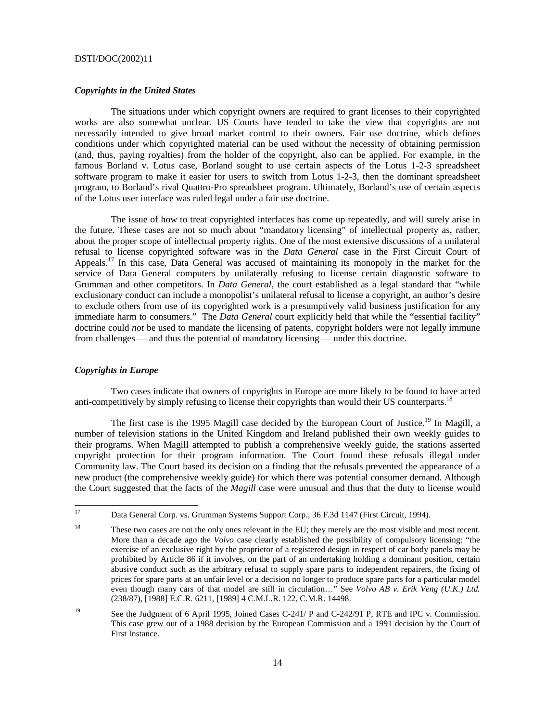#### *Copyrights in the United States*

 The situations under which copyright owners are required to grant licenses to their copyrighted works are also somewhat unclear. US Courts have tended to take the view that copyrights are not necessarily intended to give broad market control to their owners. Fair use doctrine, which defines conditions under which copyrighted material can be used without the necessity of obtaining permission (and, thus, paying royalties) from the holder of the copyright, also can be applied. For example, in the famous Borland v. Lotus case, Borland sought to use certain aspects of the Lotus 1-2-3 spreadsheet software program to make it easier for users to switch from Lotus 1-2-3, then the dominant spreadsheet program, to Borland's rival Quattro-Pro spreadsheet program. Ultimately, Borland's use of certain aspects of the Lotus user interface was ruled legal under a fair use doctrine.

 The issue of how to treat copyrighted interfaces has come up repeatedly, and will surely arise in the future. These cases are not so much about "mandatory licensing" of intellectual property as, rather, about the proper scope of intellectual property rights. One of the most extensive discussions of a unilateral refusal to license copyrighted software was in the *Data General* case in the First Circuit Court of Appeals.<sup>17</sup> In this case, Data General was accused of maintaining its monopoly in the market for the service of Data General computers by unilaterally refusing to license certain diagnostic software to Grumman and other competitors. In *Data General,* the court established as a legal standard that "while exclusionary conduct can include a monopolist's unilateral refusal to license a copyright, an author's desire to exclude others from use of its copyrighted work is a presumptively valid business justification for any immediate harm to consumers." The *Data General* court explicitly held that while the "essential facility" doctrine could *not* be used to mandate the licensing of patents, copyright holders were not legally immune from challenges — and thus the potential of mandatory licensing — under this doctrine.

#### *Copyrights in Europe*

 Two cases indicate that owners of copyrights in Europe are more likely to be found to have acted anti-competitively by simply refusing to license their copyrights than would their US counterparts.<sup>18</sup>

The first case is the 1995 Magill case decided by the European Court of Justice.<sup>19</sup> In Magill, a number of television stations in the United Kingdom and Ireland published their own weekly guides to their programs. When Magill attempted to publish a comprehensive weekly guide, the stations asserted copyright protection for their program information. The Court found these refusals illegal under Community law. The Court based its decision on a finding that the refusals prevented the appearance of a new product (the comprehensive weekly guide) for which there was potential consumer demand. Although the Court suggested that the facts of the *Magill* case were unusual and thus that the duty to license would

 $17<sup>17</sup>$ Data General Corp. vs. Grumman Systems Support Corp., 36 F.3d 1147 (First Circuit, 1994).

<sup>&</sup>lt;sup>18</sup> These two cases are not the only ones relevant in the EU; they merely are the most visible and most recent. More than a decade ago the *Volvo* case clearly established the possibility of compulsory licensing: "the exercise of an exclusive right by the proprietor of a registered design in respect of car body panels may be prohibited by Article 86 if it involves, on the part of an undertaking holding a dominant position, certain abusive conduct such as the arbitrary refusal to supply spare parts to independent repairers, the fixing of prices for spare parts at an unfair level or a decision no longer to produce spare parts for a particular model even though many cars of that model are still in circulation…" See *Volvo AB v. Erik Veng (U.K.) Ltd.* (238/87), [1988] E.C.R. 6211, [1989] 4 C.M.L.R. 122, C.M.R. 14498.

<sup>&</sup>lt;sup>19</sup> See the Judgment of 6 April 1995, Joined Cases C-241/ P and C-242/91 P, RTE and IPC v. Commission. This case grew out of a 1988 decision by the European Commission and a 1991 decision by the Court of First Instance.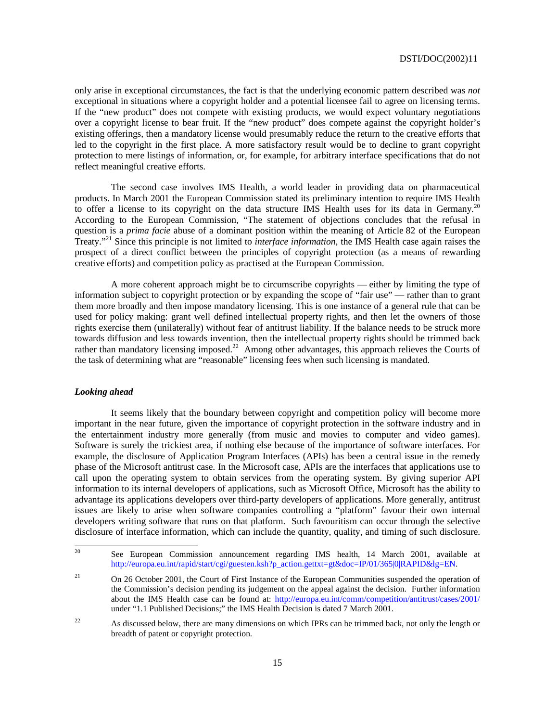only arise in exceptional circumstances, the fact is that the underlying economic pattern described was *not*  exceptional in situations where a copyright holder and a potential licensee fail to agree on licensing terms. If the "new product" does not compete with existing products, we would expect voluntary negotiations over a copyright license to bear fruit. If the "new product" does compete against the copyright holder's existing offerings, then a mandatory license would presumably reduce the return to the creative efforts that led to the copyright in the first place. A more satisfactory result would be to decline to grant copyright protection to mere listings of information, or, for example, for arbitrary interface specifications that do not reflect meaningful creative efforts.

 The second case involves IMS Health, a world leader in providing data on pharmaceutical products. In March 2001 the European Commission stated its preliminary intention to require IMS Health to offer a license to its copyright on the data structure IMS Health uses for its data in Germany.<sup>20</sup> According to the European Commission, "The statement of objections concludes that the refusal in question is a *prima facie* abuse of a dominant position within the meaning of Article 82 of the European Treaty."21 Since this principle is not limited to *interface information*, the IMS Health case again raises the prospect of a direct conflict between the principles of copyright protection (as a means of rewarding creative efforts) and competition policy as practised at the European Commission.

 A more coherent approach might be to circumscribe copyrights — either by limiting the type of information subject to copyright protection or by expanding the scope of "fair use" — rather than to grant them more broadly and then impose mandatory licensing. This is one instance of a general rule that can be used for policy making: grant well defined intellectual property rights, and then let the owners of those rights exercise them (unilaterally) without fear of antitrust liability. If the balance needs to be struck more towards diffusion and less towards invention, then the intellectual property rights should be trimmed back rather than mandatory licensing imposed.<sup>22</sup> Among other advantages, this approach relieves the Courts of the task of determining what are "reasonable" licensing fees when such licensing is mandated.

#### *Looking ahead*

 It seems likely that the boundary between copyright and competition policy will become more important in the near future, given the importance of copyright protection in the software industry and in the entertainment industry more generally (from music and movies to computer and video games). Software is surely the trickiest area, if nothing else because of the importance of software interfaces. For example, the disclosure of Application Program Interfaces (APIs) has been a central issue in the remedy phase of the Microsoft antitrust case. In the Microsoft case, APIs are the interfaces that applications use to call upon the operating system to obtain services from the operating system. By giving superior API information to its internal developers of applications, such as Microsoft Office, Microsoft has the ability to advantage its applications developers over third-party developers of applications. More generally, antitrust issues are likely to arise when software companies controlling a "platform" favour their own internal developers writing software that runs on that platform. Such favouritism can occur through the selective disclosure of interface information, which can include the quantity, quality, and timing of such disclosure.

 $20<sup>°</sup>$ See European Commission announcement regarding IMS health, 14 March 2001, available at http://europa.eu.int/rapid/start/cgi/guesten.ksh?p\_action.gettxt=gt&doc=IP/01/365|0|RAPID&lg=EN.

<sup>&</sup>lt;sup>21</sup> On 26 October 2001, the Court of First Instance of the European Communities suspended the operation of the Commission's decision pending its judgement on the appeal against the decision. Further information about the IMS Health case can be found at: http://europa.eu.int/comm/competition/antitrust/cases/2001/ under "1.1 Published Decisions;" the IMS Health Decision is dated 7 March 2001.

<sup>&</sup>lt;sup>22</sup> As discussed below, there are many dimensions on which IPRs can be trimmed back, not only the length or breadth of patent or copyright protection.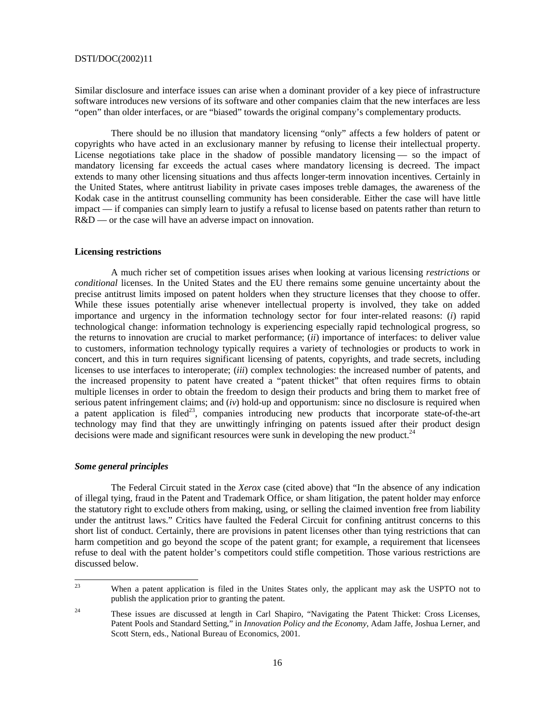Similar disclosure and interface issues can arise when a dominant provider of a key piece of infrastructure software introduces new versions of its software and other companies claim that the new interfaces are less "open" than older interfaces, or are "biased" towards the original company's complementary products.

 There should be no illusion that mandatory licensing "only" affects a few holders of patent or copyrights who have acted in an exclusionary manner by refusing to license their intellectual property. License negotiations take place in the shadow of possible mandatory licensing — so the impact of mandatory licensing far exceeds the actual cases where mandatory licensing is decreed. The impact extends to many other licensing situations and thus affects longer-term innovation incentives. Certainly in the United States, where antitrust liability in private cases imposes treble damages, the awareness of the Kodak case in the antitrust counselling community has been considerable. Either the case will have little impact — if companies can simply learn to justify a refusal to license based on patents rather than return to R&D — or the case will have an adverse impact on innovation.

#### **Licensing restrictions**

 A much richer set of competition issues arises when looking at various licensing *restrictions* or *conditional* licenses. In the United States and the EU there remains some genuine uncertainty about the precise antitrust limits imposed on patent holders when they structure licenses that they choose to offer. While these issues potentially arise whenever intellectual property is involved, they take on added importance and urgency in the information technology sector for four inter-related reasons: (*i*) rapid technological change: information technology is experiencing especially rapid technological progress, so the returns to innovation are crucial to market performance; (*ii*) importance of interfaces: to deliver value to customers, information technology typically requires a variety of technologies or products to work in concert, and this in turn requires significant licensing of patents, copyrights, and trade secrets, including licenses to use interfaces to interoperate; (*iii*) complex technologies: the increased number of patents, and the increased propensity to patent have created a "patent thicket" that often requires firms to obtain multiple licenses in order to obtain the freedom to design their products and bring them to market free of serious patent infringement claims; and (*iv*) hold-up and opportunism: since no disclosure is required when a patent application is filed<sup>23</sup>, companies introducing new products that incorporate state-of-the-art technology may find that they are unwittingly infringing on patents issued after their product design decisions were made and significant resources were sunk in developing the new product.<sup>24</sup>

#### *Some general principles*

 The Federal Circuit stated in the *Xerox* case (cited above) that "In the absence of any indication of illegal tying, fraud in the Patent and Trademark Office, or sham litigation, the patent holder may enforce the statutory right to exclude others from making, using, or selling the claimed invention free from liability under the antitrust laws." Critics have faulted the Federal Circuit for confining antitrust concerns to this short list of conduct. Certainly, there are provisions in patent licenses other than tying restrictions that can harm competition and go beyond the scope of the patent grant; for example, a requirement that licensees refuse to deal with the patent holder's competitors could stifle competition. Those various restrictions are discussed below.

 $23$ When a patent application is filed in the Unites States only, the applicant may ask the USPTO not to publish the application prior to granting the patent.

<sup>&</sup>lt;sup>24</sup> These issues are discussed at length in Carl Shapiro, "Navigating the Patent Thicket: Cross Licenses, Patent Pools and Standard Setting," in *Innovation Policy and the Economy*, Adam Jaffe, Joshua Lerner, and Scott Stern, eds., National Bureau of Economics, 2001.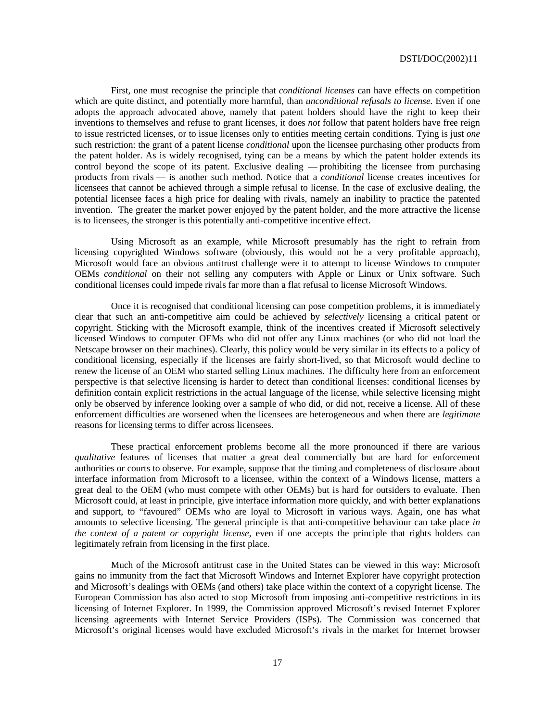First, one must recognise the principle that *conditional licenses* can have effects on competition which are quite distinct, and potentially more harmful, than *unconditional refusals to license*. Even if one adopts the approach advocated above, namely that patent holders should have the right to keep their inventions to themselves and refuse to grant licenses, it does *not* follow that patent holders have free reign to issue restricted licenses, or to issue licenses only to entities meeting certain conditions. Tying is just *one*  such restriction: the grant of a patent license *conditional* upon the licensee purchasing other products from the patent holder. As is widely recognised, tying can be a means by which the patent holder extends its control beyond the scope of its patent. Exclusive dealing — prohibiting the licensee from purchasing products from rivals — is another such method. Notice that a *conditional* license creates incentives for licensees that cannot be achieved through a simple refusal to license. In the case of exclusive dealing, the potential licensee faces a high price for dealing with rivals, namely an inability to practice the patented invention. The greater the market power enjoyed by the patent holder, and the more attractive the license is to licensees, the stronger is this potentially anti-competitive incentive effect.

 Using Microsoft as an example, while Microsoft presumably has the right to refrain from licensing copyrighted Windows software (obviously, this would not be a very profitable approach), Microsoft would face an obvious antitrust challenge were it to attempt to license Windows to computer OEMs *conditional* on their not selling any computers with Apple or Linux or Unix software. Such conditional licenses could impede rivals far more than a flat refusal to license Microsoft Windows.

 Once it is recognised that conditional licensing can pose competition problems, it is immediately clear that such an anti-competitive aim could be achieved by *selectively* licensing a critical patent or copyright. Sticking with the Microsoft example, think of the incentives created if Microsoft selectively licensed Windows to computer OEMs who did not offer any Linux machines (or who did not load the Netscape browser on their machines). Clearly, this policy would be very similar in its effects to a policy of conditional licensing, especially if the licenses are fairly short-lived, so that Microsoft would decline to renew the license of an OEM who started selling Linux machines. The difficulty here from an enforcement perspective is that selective licensing is harder to detect than conditional licenses: conditional licenses by definition contain explicit restrictions in the actual language of the license, while selective licensing might only be observed by inference looking over a sample of who did, or did not, receive a license. All of these enforcement difficulties are worsened when the licensees are heterogeneous and when there are *legitimate* reasons for licensing terms to differ across licensees.

 These practical enforcement problems become all the more pronounced if there are various *qualitative* features of licenses that matter a great deal commercially but are hard for enforcement authorities or courts to observe. For example, suppose that the timing and completeness of disclosure about interface information from Microsoft to a licensee, within the context of a Windows license, matters a great deal to the OEM (who must compete with other OEMs) but is hard for outsiders to evaluate. Then Microsoft could, at least in principle, give interface information more quickly, and with better explanations and support, to "favoured" OEMs who are loyal to Microsoft in various ways. Again, one has what amounts to selective licensing. The general principle is that anti-competitive behaviour can take place *in the context of a patent or copyright license*, even if one accepts the principle that rights holders can legitimately refrain from licensing in the first place.

 Much of the Microsoft antitrust case in the United States can be viewed in this way: Microsoft gains no immunity from the fact that Microsoft Windows and Internet Explorer have copyright protection and Microsoft's dealings with OEMs (and others) take place within the context of a copyright license. The European Commission has also acted to stop Microsoft from imposing anti-competitive restrictions in its licensing of Internet Explorer. In 1999, the Commission approved Microsoft's revised Internet Explorer licensing agreements with Internet Service Providers (ISPs). The Commission was concerned that Microsoft's original licenses would have excluded Microsoft's rivals in the market for Internet browser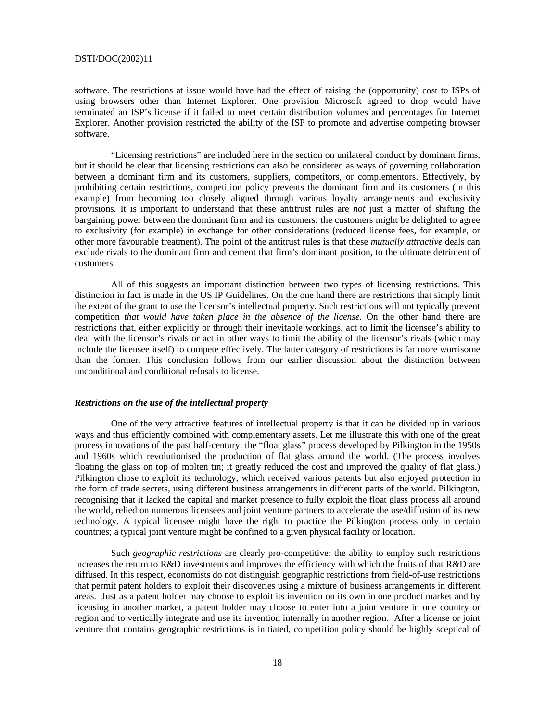software. The restrictions at issue would have had the effect of raising the (opportunity) cost to ISPs of using browsers other than Internet Explorer. One provision Microsoft agreed to drop would have terminated an ISP's license if it failed to meet certain distribution volumes and percentages for Internet Explorer. Another provision restricted the ability of the ISP to promote and advertise competing browser software.

 "Licensing restrictions" are included here in the section on unilateral conduct by dominant firms, but it should be clear that licensing restrictions can also be considered as ways of governing collaboration between a dominant firm and its customers, suppliers, competitors, or complementors. Effectively, by prohibiting certain restrictions, competition policy prevents the dominant firm and its customers (in this example) from becoming too closely aligned through various loyalty arrangements and exclusivity provisions. It is important to understand that these antitrust rules are *not* just a matter of shifting the bargaining power between the dominant firm and its customers: the customers might be delighted to agree to exclusivity (for example) in exchange for other considerations (reduced license fees, for example, or other more favourable treatment). The point of the antitrust rules is that these *mutually attractive* deals can exclude rivals to the dominant firm and cement that firm's dominant position, to the ultimate detriment of customers.

 All of this suggests an important distinction between two types of licensing restrictions. This distinction in fact is made in the US IP Guidelines. On the one hand there are restrictions that simply limit the extent of the grant to use the licensor's intellectual property. Such restrictions will not typically prevent competition *that would have taken place in the absence of the license*. On the other hand there are restrictions that, either explicitly or through their inevitable workings, act to limit the licensee's ability to deal with the licensor's rivals or act in other ways to limit the ability of the licensor's rivals (which may include the licensee itself) to compete effectively. The latter category of restrictions is far more worrisome than the former. This conclusion follows from our earlier discussion about the distinction between unconditional and conditional refusals to license.

#### *Restrictions on the use of the intellectual property*

 One of the very attractive features of intellectual property is that it can be divided up in various ways and thus efficiently combined with complementary assets. Let me illustrate this with one of the great process innovations of the past half-century: the "float glass" process developed by Pilkington in the 1950s and 1960s which revolutionised the production of flat glass around the world. (The process involves floating the glass on top of molten tin; it greatly reduced the cost and improved the quality of flat glass.) Pilkington chose to exploit its technology, which received various patents but also enjoyed protection in the form of trade secrets, using different business arrangements in different parts of the world. Pilkington, recognising that it lacked the capital and market presence to fully exploit the float glass process all around the world, relied on numerous licensees and joint venture partners to accelerate the use/diffusion of its new technology. A typical licensee might have the right to practice the Pilkington process only in certain countries; a typical joint venture might be confined to a given physical facility or location.

 Such *geographic restrictions* are clearly pro-competitive: the ability to employ such restrictions increases the return to R&D investments and improves the efficiency with which the fruits of that R&D are diffused. In this respect, economists do not distinguish geographic restrictions from field-of-use restrictions that permit patent holders to exploit their discoveries using a mixture of business arrangements in different areas. Just as a patent holder may choose to exploit its invention on its own in one product market and by licensing in another market, a patent holder may choose to enter into a joint venture in one country or region and to vertically integrate and use its invention internally in another region. After a license or joint venture that contains geographic restrictions is initiated, competition policy should be highly sceptical of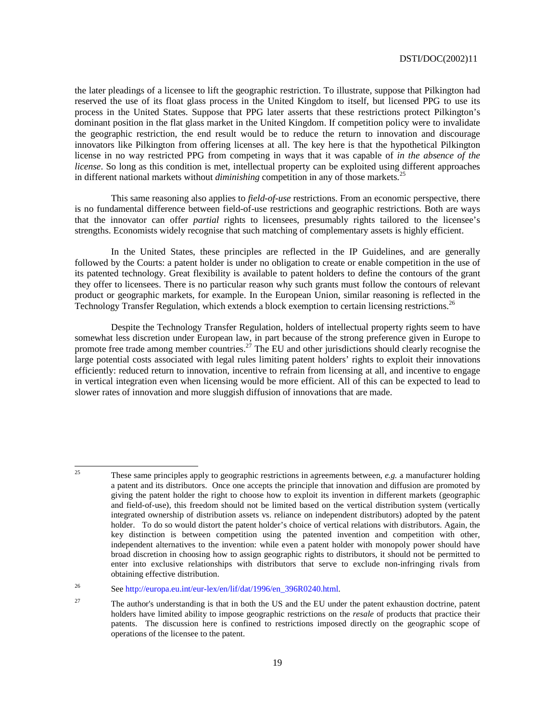the later pleadings of a licensee to lift the geographic restriction. To illustrate, suppose that Pilkington had reserved the use of its float glass process in the United Kingdom to itself, but licensed PPG to use its process in the United States. Suppose that PPG later asserts that these restrictions protect Pilkington's dominant position in the flat glass market in the United Kingdom. If competition policy were to invalidate the geographic restriction, the end result would be to reduce the return to innovation and discourage innovators like Pilkington from offering licenses at all. The key here is that the hypothetical Pilkington license in no way restricted PPG from competing in ways that it was capable of *in the absence of the license*. So long as this condition is met, intellectual property can be exploited using different approaches in different national markets without *diminishing* competition in any of those markets.<sup>25</sup>

 This same reasoning also applies to *field-of-use* restrictions. From an economic perspective, there is no fundamental difference between field-of-use restrictions and geographic restrictions. Both are ways that the innovator can offer *partial* rights to licensees, presumably rights tailored to the licensee's strengths. Economists widely recognise that such matching of complementary assets is highly efficient.

 In the United States, these principles are reflected in the IP Guidelines, and are generally followed by the Courts: a patent holder is under no obligation to create or enable competition in the use of its patented technology. Great flexibility is available to patent holders to define the contours of the grant they offer to licensees. There is no particular reason why such grants must follow the contours of relevant product or geographic markets, for example. In the European Union, similar reasoning is reflected in the Technology Transfer Regulation, which extends a block exemption to certain licensing restrictions.<sup>26</sup>

 Despite the Technology Transfer Regulation, holders of intellectual property rights seem to have somewhat less discretion under European law, in part because of the strong preference given in Europe to promote free trade among member countries.<sup>27</sup> The EU and other jurisdictions should clearly recognise the large potential costs associated with legal rules limiting patent holders' rights to exploit their innovations efficiently: reduced return to innovation, incentive to refrain from licensing at all, and incentive to engage in vertical integration even when licensing would be more efficient. All of this can be expected to lead to slower rates of innovation and more sluggish diffusion of innovations that are made.

<sup>25</sup> 

<sup>25</sup> These same principles apply to geographic restrictions in agreements between, *e.g.* a manufacturer holding a patent and its distributors. Once one accepts the principle that innovation and diffusion are promoted by giving the patent holder the right to choose how to exploit its invention in different markets (geographic and field-of-use), this freedom should not be limited based on the vertical distribution system (vertically integrated ownership of distribution assets vs. reliance on independent distributors) adopted by the patent holder. To do so would distort the patent holder's choice of vertical relations with distributors. Again, the key distinction is between competition using the patented invention and competition with other, independent alternatives to the invention: while even a patent holder with monopoly power should have broad discretion in choosing how to assign geographic rights to distributors, it should not be permitted to enter into exclusive relationships with distributors that serve to exclude non-infringing rivals from obtaining effective distribution.

<sup>26</sup> See http://europa.eu.int/eur-lex/en/lif/dat/1996/en\_396R0240.html.

<sup>&</sup>lt;sup>27</sup> The author's understanding is that in both the US and the EU under the patent exhaustion doctrine, patent holders have limited ability to impose geographic restrictions on the *resale* of products that practice their patents. The discussion here is confined to restrictions imposed directly on the geographic scope of operations of the licensee to the patent.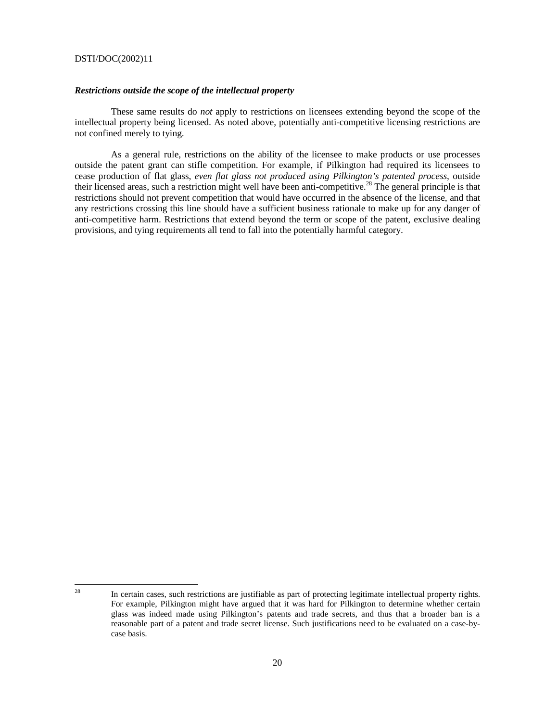$28$ 

#### *Restrictions outside the scope of the intellectual property*

 These same results do *not* apply to restrictions on licensees extending beyond the scope of the intellectual property being licensed. As noted above, potentially anti-competitive licensing restrictions are not confined merely to tying.

 As a general rule, restrictions on the ability of the licensee to make products or use processes outside the patent grant can stifle competition. For example, if Pilkington had required its licensees to cease production of flat glass, *even flat glass not produced using Pilkington's patented process*, outside their licensed areas, such a restriction might well have been anti-competitive.<sup>28</sup> The general principle is that restrictions should not prevent competition that would have occurred in the absence of the license, and that any restrictions crossing this line should have a sufficient business rationale to make up for any danger of anti-competitive harm. Restrictions that extend beyond the term or scope of the patent, exclusive dealing provisions, and tying requirements all tend to fall into the potentially harmful category.

<sup>28</sup> In certain cases, such restrictions are justifiable as part of protecting legitimate intellectual property rights. For example, Pilkington might have argued that it was hard for Pilkington to determine whether certain glass was indeed made using Pilkington's patents and trade secrets, and thus that a broader ban is a reasonable part of a patent and trade secret license. Such justifications need to be evaluated on a case-bycase basis.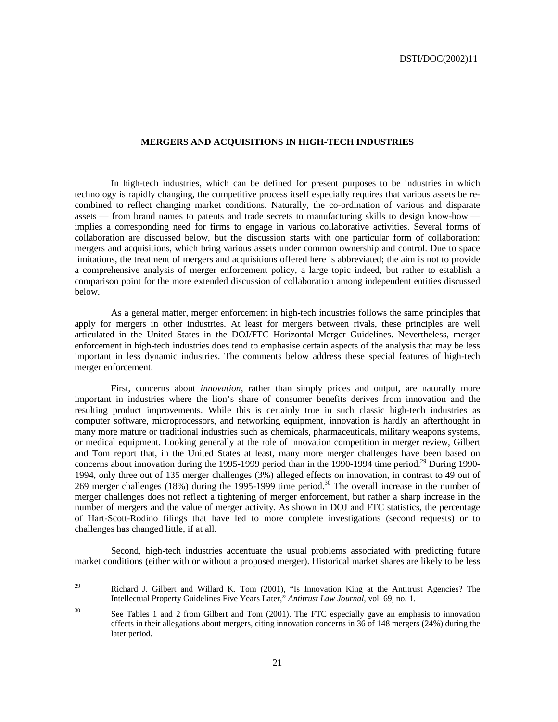#### **MERGERS AND ACQUISITIONS IN HIGH-TECH INDUSTRIES**

 In high-tech industries, which can be defined for present purposes to be industries in which technology is rapidly changing, the competitive process itself especially requires that various assets be recombined to reflect changing market conditions. Naturally, the co-ordination of various and disparate assets — from brand names to patents and trade secrets to manufacturing skills to design know-how implies a corresponding need for firms to engage in various collaborative activities. Several forms of collaboration are discussed below, but the discussion starts with one particular form of collaboration: mergers and acquisitions, which bring various assets under common ownership and control. Due to space limitations, the treatment of mergers and acquisitions offered here is abbreviated; the aim is not to provide a comprehensive analysis of merger enforcement policy, a large topic indeed, but rather to establish a comparison point for the more extended discussion of collaboration among independent entities discussed below.

 As a general matter, merger enforcement in high-tech industries follows the same principles that apply for mergers in other industries. At least for mergers between rivals, these principles are well articulated in the United States in the DOJ/FTC Horizontal Merger Guidelines. Nevertheless, merger enforcement in high-tech industries does tend to emphasise certain aspects of the analysis that may be less important in less dynamic industries. The comments below address these special features of high-tech merger enforcement.

 First, concerns about *innovation*, rather than simply prices and output, are naturally more important in industries where the lion's share of consumer benefits derives from innovation and the resulting product improvements. While this is certainly true in such classic high-tech industries as computer software, microprocessors, and networking equipment, innovation is hardly an afterthought in many more mature or traditional industries such as chemicals, pharmaceuticals, military weapons systems, or medical equipment. Looking generally at the role of innovation competition in merger review, Gilbert and Tom report that, in the United States at least, many more merger challenges have been based on concerns about innovation during the 1995-1999 period than in the 1990-1994 time period.<sup>29</sup> During 1990-1994, only three out of 135 merger challenges (3%) alleged effects on innovation, in contrast to 49 out of 269 merger challenges (18%) during the 1995-1999 time period.30 The overall increase in the number of merger challenges does not reflect a tightening of merger enforcement, but rather a sharp increase in the number of mergers and the value of merger activity. As shown in DOJ and FTC statistics, the percentage of Hart-Scott-Rodino filings that have led to more complete investigations (second requests) or to challenges has changed little, if at all.

 Second, high-tech industries accentuate the usual problems associated with predicting future market conditions (either with or without a proposed merger). Historical market shares are likely to be less

 $29$ 29 Richard J. Gilbert and Willard K. Tom (2001), "Is Innovation King at the Antitrust Agencies? The Intellectual Property Guidelines Five Years Later," *Antitrust Law Journal,* vol. 69, no. 1.

<sup>&</sup>lt;sup>30</sup> See Tables 1 and 2 from Gilbert and Tom (2001). The FTC especially gave an emphasis to innovation effects in their allegations about mergers, citing innovation concerns in 36 of 148 mergers (24%) during the later period.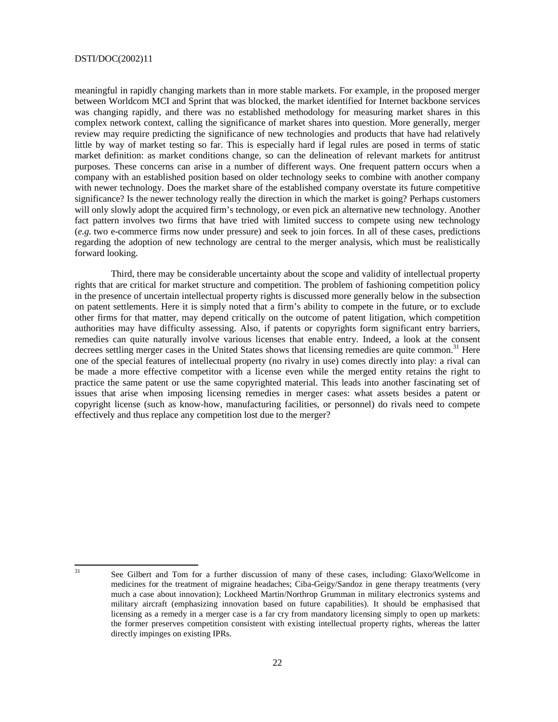meaningful in rapidly changing markets than in more stable markets. For example, in the proposed merger between Worldcom MCI and Sprint that was blocked, the market identified for Internet backbone services was changing rapidly, and there was no established methodology for measuring market shares in this complex network context, calling the significance of market shares into question. More generally, merger review may require predicting the significance of new technologies and products that have had relatively little by way of market testing so far. This is especially hard if legal rules are posed in terms of static market definition: as market conditions change, so can the delineation of relevant markets for antitrust purposes. These concerns can arise in a number of different ways. One frequent pattern occurs when a company with an established position based on older technology seeks to combine with another company with newer technology. Does the market share of the established company overstate its future competitive significance? Is the newer technology really the direction in which the market is going? Perhaps customers will only slowly adopt the acquired firm's technology, or even pick an alternative new technology. Another fact pattern involves two firms that have tried with limited success to compete using new technology (*e.g.* two e-commerce firms now under pressure) and seek to join forces. In all of these cases, predictions regarding the adoption of new technology are central to the merger analysis, which must be realistically forward looking.

 Third, there may be considerable uncertainty about the scope and validity of intellectual property rights that are critical for market structure and competition. The problem of fashioning competition policy in the presence of uncertain intellectual property rights is discussed more generally below in the subsection on patent settlements. Here it is simply noted that a firm's ability to compete in the future, or to exclude other firms for that matter, may depend critically on the outcome of patent litigation, which competition authorities may have difficulty assessing. Also, if patents or copyrights form significant entry barriers, remedies can quite naturally involve various licenses that enable entry. Indeed, a look at the consent decrees settling merger cases in the United States shows that licensing remedies are quite common.<sup>31</sup> Here one of the special features of intellectual property (no rivalry in use) comes directly into play: a rival can be made a more effective competitor with a license even while the merged entity retains the right to practice the same patent or use the same copyrighted material. This leads into another fascinating set of issues that arise when imposing licensing remedies in merger cases: what assets besides a patent or copyright license (such as know-how, manufacturing facilities, or personnel) do rivals need to compete effectively and thus replace any competition lost due to the merger?

 $31$ See Gilbert and Tom for a further discussion of many of these cases, including: Glaxo/Wellcome in medicines for the treatment of migraine headaches; Ciba-Geigy/Sandoz in gene therapy treatments (very much a case about innovation); Lockheed Martin/Northrop Grumman in military electronics systems and military aircraft (emphasizing innovation based on future capabilities). It should be emphasised that licensing as a remedy in a merger case is a far cry from mandatory licensing simply to open up markets: the former preserves competition consistent with existing intellectual property rights, whereas the latter directly impinges on existing IPRs.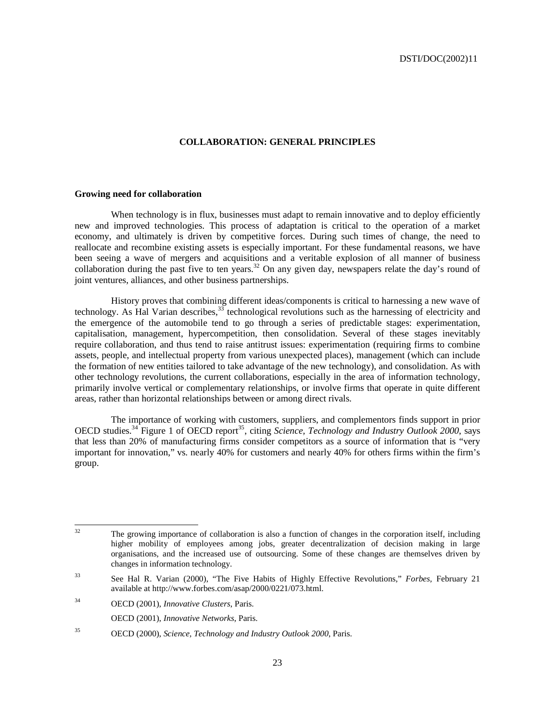#### **COLLABORATION: GENERAL PRINCIPLES**

#### **Growing need for collaboration**

When technology is in flux, businesses must adapt to remain innovative and to deploy efficiently new and improved technologies. This process of adaptation is critical to the operation of a market economy, and ultimately is driven by competitive forces. During such times of change, the need to reallocate and recombine existing assets is especially important. For these fundamental reasons, we have been seeing a wave of mergers and acquisitions and a veritable explosion of all manner of business collaboration during the past five to ten years.<sup>32</sup> On any given day, newspapers relate the day's round of joint ventures, alliances, and other business partnerships.

 History proves that combining different ideas/components is critical to harnessing a new wave of technology. As Hal Varian describes,  $33$  technological revolutions such as the harnessing of electricity and the emergence of the automobile tend to go through a series of predictable stages: experimentation, capitalisation, management, hypercompetition, then consolidation. Several of these stages inevitably require collaboration, and thus tend to raise antitrust issues: experimentation (requiring firms to combine assets, people, and intellectual property from various unexpected places), management (which can include the formation of new entities tailored to take advantage of the new technology), and consolidation. As with other technology revolutions, the current collaborations, especially in the area of information technology, primarily involve vertical or complementary relationships, or involve firms that operate in quite different areas, rather than horizontal relationships between or among direct rivals.

 The importance of working with customers, suppliers, and complementors finds support in prior OECD studies.<sup>34</sup> Figure 1 of OECD report<sup>35</sup>, citing *Science, Technology and Industry Outlook 2000*, says that less than 20% of manufacturing firms consider competitors as a source of information that is "very important for innovation," vs*.* nearly 40% for customers and nearly 40% for others firms within the firm's group.

<sup>32</sup> The growing importance of collaboration is also a function of changes in the corporation itself, including higher mobility of employees among jobs, greater decentralization of decision making in large organisations, and the increased use of outsourcing. Some of these changes are themselves driven by changes in information technology.

<sup>33</sup> See Hal R. Varian (2000), "The Five Habits of Highly Effective Revolutions," *Forbes,* February 21 available at http://www.forbes.com/asap/2000/0221/073.html.

<sup>34</sup> OECD (2001), *Innovative Clusters*, Paris.

OECD (2001), *Innovative Networks*, Paris.

<sup>35</sup> OECD (2000), *Science, Technology and Industry Outlook 2000*, Paris.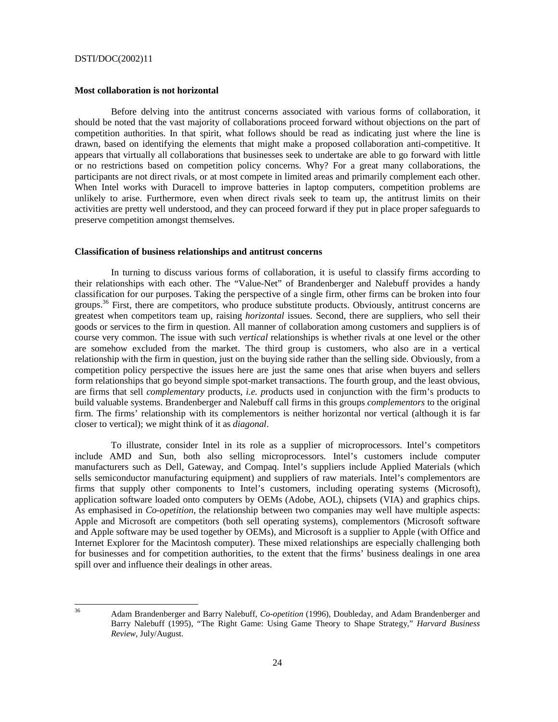#### **Most collaboration is not horizontal**

 Before delving into the antitrust concerns associated with various forms of collaboration, it should be noted that the vast majority of collaborations proceed forward without objections on the part of competition authorities. In that spirit, what follows should be read as indicating just where the line is drawn, based on identifying the elements that might make a proposed collaboration anti-competitive. It appears that virtually all collaborations that businesses seek to undertake are able to go forward with little or no restrictions based on competition policy concerns. Why? For a great many collaborations, the participants are not direct rivals, or at most compete in limited areas and primarily complement each other. When Intel works with Duracell to improve batteries in laptop computers, competition problems are unlikely to arise. Furthermore, even when direct rivals seek to team up, the antitrust limits on their activities are pretty well understood, and they can proceed forward if they put in place proper safeguards to preserve competition amongst themselves.

#### **Classification of business relationships and antitrust concerns**

 In turning to discuss various forms of collaboration, it is useful to classify firms according to their relationships with each other. The "Value-Net" of Brandenberger and Nalebuff provides a handy classification for our purposes. Taking the perspective of a single firm, other firms can be broken into four groups.<sup>36</sup> First, there are competitors, who produce substitute products. Obviously, antitrust concerns are greatest when competitors team up, raising *horizontal* issues. Second, there are suppliers, who sell their goods or services to the firm in question. All manner of collaboration among customers and suppliers is of course very common. The issue with such *vertical* relationships is whether rivals at one level or the other are somehow excluded from the market. The third group is customers, who also are in a vertical relationship with the firm in question, just on the buying side rather than the selling side. Obviously, from a competition policy perspective the issues here are just the same ones that arise when buyers and sellers form relationships that go beyond simple spot-market transactions. The fourth group, and the least obvious, are firms that sell *complementary* products, *i.e. p*roducts used in conjunction with the firm's products to build valuable systems. Brandenberger and Nalebuff call firms in this groups *complementors* to the original firm. The firms' relationship with its complementors is neither horizontal nor vertical (although it is far closer to vertical); we might think of it as *diagonal*.

 To illustrate, consider Intel in its role as a supplier of microprocessors. Intel's competitors include AMD and Sun, both also selling microprocessors. Intel's customers include computer manufacturers such as Dell, Gateway, and Compaq. Intel's suppliers include Applied Materials (which sells semiconductor manufacturing equipment) and suppliers of raw materials. Intel's complementors are firms that supply other components to Intel's customers, including operating systems (Microsoft), application software loaded onto computers by OEMs (Adobe, AOL), chipsets (VIA) and graphics chips. As emphasised in *Co-opetition*, the relationship between two companies may well have multiple aspects: Apple and Microsoft are competitors (both sell operating systems), complementors (Microsoft software and Apple software may be used together by OEMs), and Microsoft is a supplier to Apple (with Office and Internet Explorer for the Macintosh computer). These mixed relationships are especially challenging both for businesses and for competition authorities, to the extent that the firms' business dealings in one area spill over and influence their dealings in other areas.

 $36^{\circ}$ 

<sup>36</sup> Adam Brandenberger and Barry Nalebuff, *Co-opetition* (1996), Doubleday, and Adam Brandenberger and Barry Nalebuff (1995), "The Right Game: Using Game Theory to Shape Strategy*,*" *Harvard Business Review,* July/August.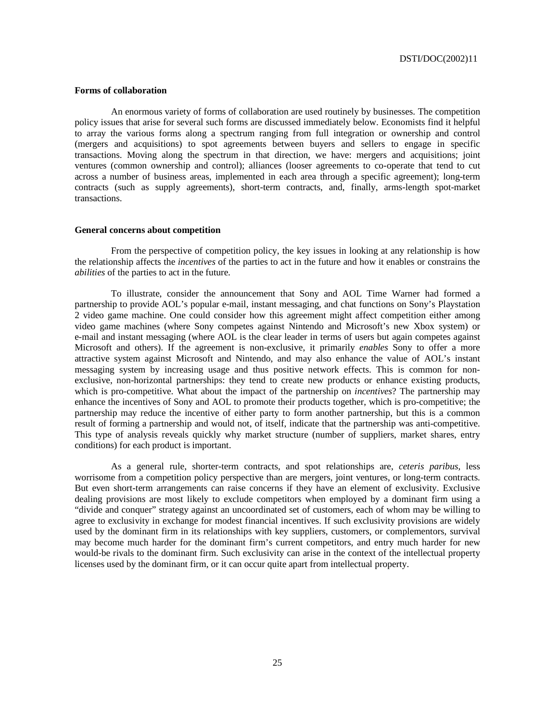#### **Forms of collaboration**

 An enormous variety of forms of collaboration are used routinely by businesses. The competition policy issues that arise for several such forms are discussed immediately below. Economists find it helpful to array the various forms along a spectrum ranging from full integration or ownership and control (mergers and acquisitions) to spot agreements between buyers and sellers to engage in specific transactions. Moving along the spectrum in that direction, we have: mergers and acquisitions; joint ventures (common ownership and control); alliances (looser agreements to co-operate that tend to cut across a number of business areas, implemented in each area through a specific agreement); long-term contracts (such as supply agreements), short-term contracts, and, finally, arms-length spot-market transactions.

#### **General concerns about competition**

 From the perspective of competition policy, the key issues in looking at any relationship is how the relationship affects the *incentives* of the parties to act in the future and how it enables or constrains the *abilities* of the parties to act in the future.

 To illustrate, consider the announcement that Sony and AOL Time Warner had formed a partnership to provide AOL's popular e-mail, instant messaging, and chat functions on Sony's Playstation 2 video game machine. One could consider how this agreement might affect competition either among video game machines (where Sony competes against Nintendo and Microsoft's new Xbox system) or e-mail and instant messaging (where AOL is the clear leader in terms of users but again competes against Microsoft and others). If the agreement is non-exclusive, it primarily *enables* Sony to offer a more attractive system against Microsoft and Nintendo, and may also enhance the value of AOL's instant messaging system by increasing usage and thus positive network effects. This is common for nonexclusive, non-horizontal partnerships: they tend to create new products or enhance existing products, which is pro-competitive. What about the impact of the partnership on *incentives*? The partnership may enhance the incentives of Sony and AOL to promote their products together, which is pro-competitive; the partnership may reduce the incentive of either party to form another partnership, but this is a common result of forming a partnership and would not, of itself, indicate that the partnership was anti-competitive. This type of analysis reveals quickly why market structure (number of suppliers, market shares, entry conditions) for each product is important.

 As a general rule, shorter-term contracts, and spot relationships are, *ceteris paribus,* less worrisome from a competition policy perspective than are mergers, joint ventures, or long-term contracts. But even short-term arrangements can raise concerns if they have an element of exclusivity. Exclusive dealing provisions are most likely to exclude competitors when employed by a dominant firm using a "divide and conquer" strategy against an uncoordinated set of customers, each of whom may be willing to agree to exclusivity in exchange for modest financial incentives. If such exclusivity provisions are widely used by the dominant firm in its relationships with key suppliers, customers, or complementors, survival may become much harder for the dominant firm's current competitors, and entry much harder for new would-be rivals to the dominant firm. Such exclusivity can arise in the context of the intellectual property licenses used by the dominant firm, or it can occur quite apart from intellectual property.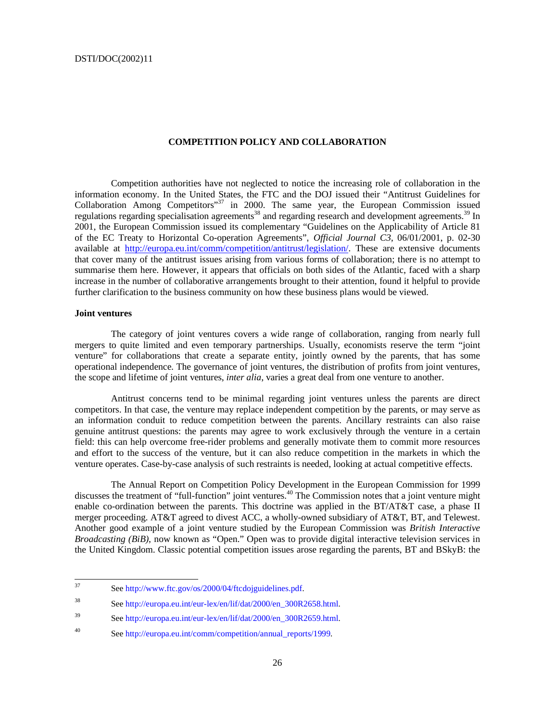#### **COMPETITION POLICY AND COLLABORATION**

 Competition authorities have not neglected to notice the increasing role of collaboration in the information economy. In the United States, the FTC and the DOJ issued their "Antitrust Guidelines for Collaboration Among Competitors"<sup>37</sup> in 2000. The same year, the European Commission issued regulations regarding specialisation agreements<sup>38</sup> and regarding research and development agreements.<sup>39</sup> In 2001, the European Commission issued its complementary "Guidelines on the Applicability of Article 81 of the EC Treaty to Horizontal Co-operation Agreements", *Official Journal C3*, 06/01/2001, p. 02-30 available at http://europa.eu.int/comm/competition/antitrust/legislation/. These are extensive documents that cover many of the antitrust issues arising from various forms of collaboration; there is no attempt to summarise them here. However, it appears that officials on both sides of the Atlantic, faced with a sharp increase in the number of collaborative arrangements brought to their attention, found it helpful to provide further clarification to the business community on how these business plans would be viewed.

#### **Joint ventures**

 The category of joint ventures covers a wide range of collaboration, ranging from nearly full mergers to quite limited and even temporary partnerships. Usually, economists reserve the term "joint venture" for collaborations that create a separate entity, jointly owned by the parents, that has some operational independence. The governance of joint ventures, the distribution of profits from joint ventures, the scope and lifetime of joint ventures, *inter alia*, varies a great deal from one venture to another.

 Antitrust concerns tend to be minimal regarding joint ventures unless the parents are direct competitors. In that case, the venture may replace independent competition by the parents, or may serve as an information conduit to reduce competition between the parents. Ancillary restraints can also raise genuine antitrust questions: the parents may agree to work exclusively through the venture in a certain field: this can help overcome free-rider problems and generally motivate them to commit more resources and effort to the success of the venture, but it can also reduce competition in the markets in which the venture operates. Case-by-case analysis of such restraints is needed, looking at actual competitive effects.

 The Annual Report on Competition Policy Development in the European Commission for 1999 discusses the treatment of "full-function" joint ventures.40 The Commission notes that a joint venture might enable co-ordination between the parents. This doctrine was applied in the BT/AT&T case, a phase II merger proceeding. AT&T agreed to divest ACC, a wholly-owned subsidiary of AT&T, BT, and Telewest. Another good example of a joint venture studied by the European Commission was *British Interactive Broadcasting (BiB)*, now known as "Open." Open was to provide digital interactive television services in the United Kingdom. Classic potential competition issues arose regarding the parents, BT and BSkyB: the

 $37$ See http://www.ftc.gov/os/2000/04/ftcdojguidelines.pdf.

<sup>38</sup> See http://europa.eu.int/eur-lex/en/lif/dat/2000/en\_300R2658.html.

<sup>39</sup> See http://europa.eu.int/eur-lex/en/lif/dat/2000/en\_300R2659.html.

<sup>40</sup> See http://europa.eu.int/comm/competition/annual\_reports/1999.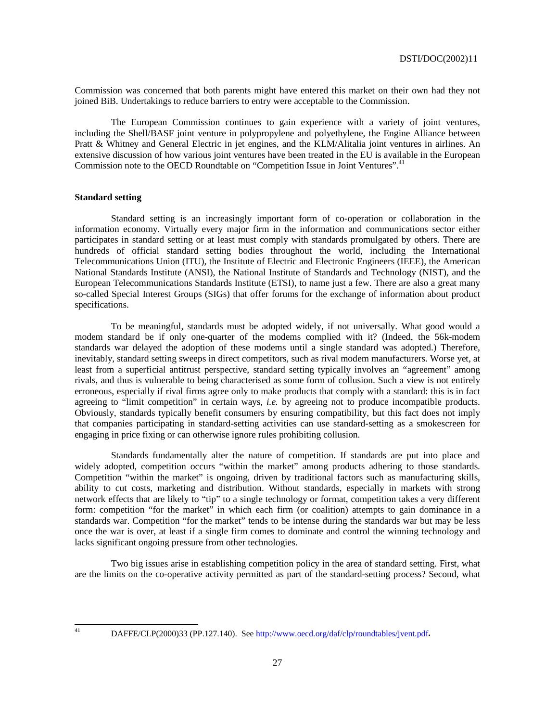Commission was concerned that both parents might have entered this market on their own had they not joined BiB. Undertakings to reduce barriers to entry were acceptable to the Commission.

 The European Commission continues to gain experience with a variety of joint ventures, including the Shell/BASF joint venture in polypropylene and polyethylene, the Engine Alliance between Pratt & Whitney and General Electric in jet engines, and the KLM/Alitalia joint ventures in airlines. An extensive discussion of how various joint ventures have been treated in the EU is available in the European Commission note to the OECD Roundtable on "Competition Issue in Joint Ventures".<sup>41</sup>

#### **Standard setting**

 Standard setting is an increasingly important form of co-operation or collaboration in the information economy. Virtually every major firm in the information and communications sector either participates in standard setting or at least must comply with standards promulgated by others. There are hundreds of official standard setting bodies throughout the world, including the International Telecommunications Union (ITU), the Institute of Electric and Electronic Engineers (IEEE), the American National Standards Institute (ANSI), the National Institute of Standards and Technology (NIST), and the European Telecommunications Standards Institute (ETSI), to name just a few. There are also a great many so-called Special Interest Groups (SIGs) that offer forums for the exchange of information about product specifications.

 To be meaningful, standards must be adopted widely, if not universally. What good would a modem standard be if only one-quarter of the modems complied with it? (Indeed, the 56k-modem standards war delayed the adoption of these modems until a single standard was adopted.) Therefore, inevitably, standard setting sweeps in direct competitors, such as rival modem manufacturers. Worse yet, at least from a superficial antitrust perspective, standard setting typically involves an "agreement" among rivals, and thus is vulnerable to being characterised as some form of collusion. Such a view is not entirely erroneous, especially if rival firms agree only to make products that comply with a standard: this is in fact agreeing to "limit competition" in certain ways, *i.e.* by agreeing not to produce incompatible products. Obviously, standards typically benefit consumers by ensuring compatibility, but this fact does not imply that companies participating in standard-setting activities can use standard-setting as a smokescreen for engaging in price fixing or can otherwise ignore rules prohibiting collusion.

 Standards fundamentally alter the nature of competition. If standards are put into place and widely adopted, competition occurs "within the market" among products adhering to those standards. Competition "within the market" is ongoing, driven by traditional factors such as manufacturing skills, ability to cut costs, marketing and distribution. Without standards, especially in markets with strong network effects that are likely to "tip" to a single technology or format, competition takes a very different form: competition "for the market" in which each firm (or coalition) attempts to gain dominance in a standards war. Competition "for the market" tends to be intense during the standards war but may be less once the war is over, at least if a single firm comes to dominate and control the winning technology and lacks significant ongoing pressure from other technologies.

 Two big issues arise in establishing competition policy in the area of standard setting. First, what are the limits on the co-operative activity permitted as part of the standard-setting process? Second, what

 $\overline{41}$ 

<sup>41</sup> DAFFE/CLP(2000)33 (PP.127.140). See http://www.oecd.org/daf/clp/roundtables/jvent.pdf**.**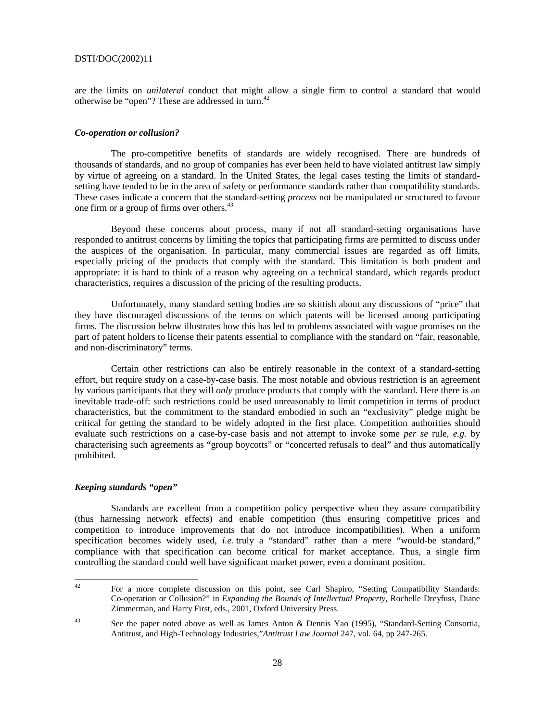are the limits on *unilateral* conduct that might allow a single firm to control a standard that would otherwise be "open"? These are addressed in turn.<sup>42</sup>

#### *Co-operation or collusion?*

 The pro-competitive benefits of standards are widely recognised. There are hundreds of thousands of standards, and no group of companies has ever been held to have violated antitrust law simply by virtue of agreeing on a standard. In the United States, the legal cases testing the limits of standardsetting have tended to be in the area of safety or performance standards rather than compatibility standards. These cases indicate a concern that the standard-setting *process* not be manipulated or structured to favour one firm or a group of firms over others.<sup>43</sup>

 Beyond these concerns about process, many if not all standard-setting organisations have responded to antitrust concerns by limiting the topics that participating firms are permitted to discuss under the auspices of the organisation. In particular, many commercial issues are regarded as off limits, especially pricing of the products that comply with the standard. This limitation is both prudent and appropriate: it is hard to think of a reason why agreeing on a technical standard, which regards product characteristics, requires a discussion of the pricing of the resulting products.

 Unfortunately, many standard setting bodies are so skittish about any discussions of "price" that they have discouraged discussions of the terms on which patents will be licensed among participating firms. The discussion below illustrates how this has led to problems associated with vague promises on the part of patent holders to license their patents essential to compliance with the standard on "fair, reasonable, and non-discriminatory" terms.

 Certain other restrictions can also be entirely reasonable in the context of a standard-setting effort, but require study on a case-by-case basis. The most notable and obvious restriction is an agreement by various participants that they will *only* produce products that comply with the standard. Here there is an inevitable trade-off: such restrictions could be used unreasonably to limit competition in terms of product characteristics, but the commitment to the standard embodied in such an "exclusivity" pledge might be critical for getting the standard to be widely adopted in the first place. Competition authorities should evaluate such restrictions on a case-by-case basis and not attempt to invoke some *per se* rule, *e.g.* by characterising such agreements as "group boycotts" or "concerted refusals to deal" and thus automatically prohibited.

#### *Keeping standards "open"*

 Standards are excellent from a competition policy perspective when they assure compatibility (thus harnessing network effects) and enable competition (thus ensuring competitive prices and competition to introduce improvements that do not introduce incompatibilities). When a uniform specification becomes widely used, *i.e.* truly a "standard" rather than a mere "would-be standard," compliance with that specification can become critical for market acceptance. Thus, a single firm controlling the standard could well have significant market power, even a dominant position.

 $42$ 42 For a more complete discussion on this point, see Carl Shapiro, "Setting Compatibility Standards: Co-operation or Collusion?" in *Expanding the Bounds of Intellectual Property*, Rochelle Dreyfuss, Diane Zimmerman, and Harry First, eds., 2001, Oxford University Press.

<sup>&</sup>lt;sup>43</sup> See the paper noted above as well as James Anton & Dennis Yao (1995), "Standard-Setting Consortia, Antitrust, and High-Technology Industries,"*Antitrust Law Journal* 247, vol. 64, pp 247-265.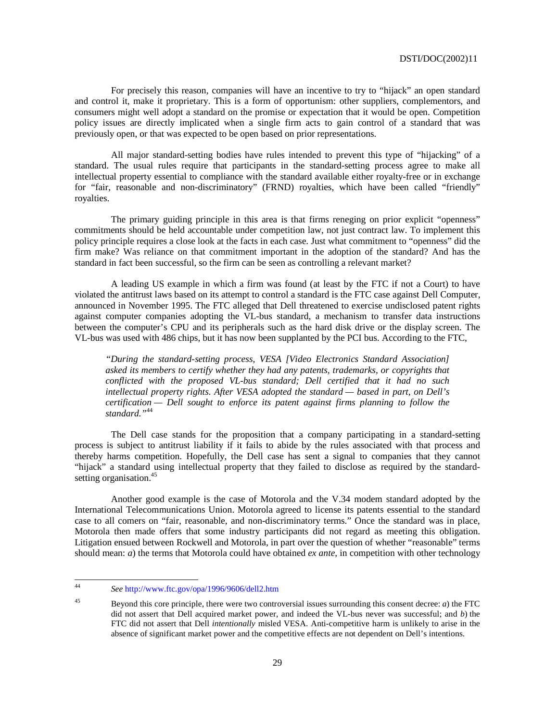For precisely this reason, companies will have an incentive to try to "hijack" an open standard and control it, make it proprietary. This is a form of opportunism: other suppliers, complementors, and consumers might well adopt a standard on the promise or expectation that it would be open. Competition policy issues are directly implicated when a single firm acts to gain control of a standard that was previously open, or that was expected to be open based on prior representations.

 All major standard-setting bodies have rules intended to prevent this type of "hijacking" of a standard. The usual rules require that participants in the standard-setting process agree to make all intellectual property essential to compliance with the standard available either royalty-free or in exchange for "fair, reasonable and non-discriminatory" (FRND) royalties, which have been called "friendly" royalties.

 The primary guiding principle in this area is that firms reneging on prior explicit "openness" commitments should be held accountable under competition law, not just contract law. To implement this policy principle requires a close look at the facts in each case. Just what commitment to "openness" did the firm make? Was reliance on that commitment important in the adoption of the standard? And has the standard in fact been successful, so the firm can be seen as controlling a relevant market?

 A leading US example in which a firm was found (at least by the FTC if not a Court) to have violated the antitrust laws based on its attempt to control a standard is the FTC case against Dell Computer, announced in November 1995. The FTC alleged that Dell threatened to exercise undisclosed patent rights against computer companies adopting the VL-bus standard, a mechanism to transfer data instructions between the computer's CPU and its peripherals such as the hard disk drive or the display screen. The VL-bus was used with 486 chips, but it has now been supplanted by the PCI bus. According to the FTC,

*"During the standard-setting process, VESA [Video Electronics Standard Association] asked its members to certify whether they had any patents, trademarks, or copyrights that conflicted with the proposed VL-bus standard; Dell certified that it had no such intellectual property rights. After VESA adopted the standard — based in part, on Dell's certification — Dell sought to enforce its patent against firms planning to follow the standard."*<sup>44</sup>

 The Dell case stands for the proposition that a company participating in a standard-setting process is subject to antitrust liability if it fails to abide by the rules associated with that process and thereby harms competition. Hopefully, the Dell case has sent a signal to companies that they cannot "hijack" a standard using intellectual property that they failed to disclose as required by the standardsetting organisation.<sup>45</sup>

 Another good example is the case of Motorola and the V.34 modem standard adopted by the International Telecommunications Union. Motorola agreed to license its patents essential to the standard case to all comers on "fair, reasonable, and non-discriminatory terms." Once the standard was in place, Motorola then made offers that some industry participants did not regard as meeting this obligation. Litigation ensued between Rockwell and Motorola, in part over the question of whether "reasonable" terms should mean: *a*) the terms that Motorola could have obtained *ex ante*, in competition with other technology

 $44<sup>°</sup>$ 44 *See* http://www.ftc.gov/opa/1996/9606/dell2.htm

<sup>&</sup>lt;sup>45</sup> Beyond this core principle, there were two controversial issues surrounding this consent decree: *a*) the FTC did not assert that Dell acquired market power, and indeed the VL-bus never was successful; and *b*) the FTC did not assert that Dell *intentionally* misled VESA. Anti-competitive harm is unlikely to arise in the absence of significant market power and the competitive effects are not dependent on Dell's intentions.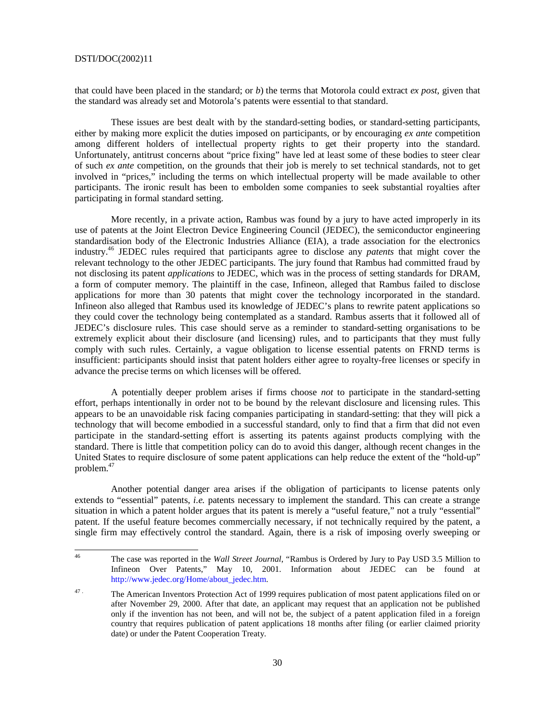that could have been placed in the standard; or *b*) the terms that Motorola could extract *ex post*, given that the standard was already set and Motorola's patents were essential to that standard.

 These issues are best dealt with by the standard-setting bodies, or standard-setting participants, either by making more explicit the duties imposed on participants, or by encouraging *ex ante* competition among different holders of intellectual property rights to get their property into the standard. Unfortunately, antitrust concerns about "price fixing" have led at least some of these bodies to steer clear of such *ex ante* competition, on the grounds that their job is merely to set technical standards, not to get involved in "prices," including the terms on which intellectual property will be made available to other participants. The ironic result has been to embolden some companies to seek substantial royalties after participating in formal standard setting.

 More recently, in a private action, Rambus was found by a jury to have acted improperly in its use of patents at the Joint Electron Device Engineering Council (JEDEC), the semiconductor engineering standardisation body of the Electronic Industries Alliance (EIA), a trade association for the electronics industry.46 JEDEC rules required that participants agree to disclose any *patents* that might cover the relevant technology to the other JEDEC participants. The jury found that Rambus had committed fraud by not disclosing its patent *applications* to JEDEC, which was in the process of setting standards for DRAM, a form of computer memory. The plaintiff in the case, Infineon, alleged that Rambus failed to disclose applications for more than 30 patents that might cover the technology incorporated in the standard. Infineon also alleged that Rambus used its knowledge of JEDEC's plans to rewrite patent applications so they could cover the technology being contemplated as a standard. Rambus asserts that it followed all of JEDEC's disclosure rules. This case should serve as a reminder to standard-setting organisations to be extremely explicit about their disclosure (and licensing) rules, and to participants that they must fully comply with such rules. Certainly, a vague obligation to license essential patents on FRND terms is insufficient: participants should insist that patent holders either agree to royalty-free licenses or specify in advance the precise terms on which licenses will be offered.

 A potentially deeper problem arises if firms choose *not* to participate in the standard-setting effort, perhaps intentionally in order not to be bound by the relevant disclosure and licensing rules. This appears to be an unavoidable risk facing companies participating in standard-setting: that they will pick a technology that will become embodied in a successful standard, only to find that a firm that did not even participate in the standard-setting effort is asserting its patents against products complying with the standard. There is little that competition policy can do to avoid this danger, although recent changes in the United States to require disclosure of some patent applications can help reduce the extent of the "hold-up" problem.47

 Another potential danger area arises if the obligation of participants to license patents only extends to "essential" patents, *i.e.* patents necessary to implement the standard. This can create a strange situation in which a patent holder argues that its patent is merely a "useful feature," not a truly "essential" patent. If the useful feature becomes commercially necessary, if not technically required by the patent, a single firm may effectively control the standard. Again, there is a risk of imposing overly sweeping or

 $46<sup>1</sup>$ 46 The case was reported in the *Wall Street Journal*, "Rambus is Ordered by Jury to Pay USD 3.5 Million to Infineon Over Patents," May 10, 2001. Information about JEDEC can be found at http://www.jedec.org/Home/about\_jedec.htm.

<sup>&</sup>lt;sup>47</sup> . The American Inventors Protection Act of 1999 requires publication of most patent applications filed on or after November 29, 2000. After that date, an applicant may request that an application not be published only if the invention has not been, and will not be, the subject of a patent application filed in a foreign country that requires publication of patent applications 18 months after filing (or earlier claimed priority date) or under the Patent Cooperation Treaty.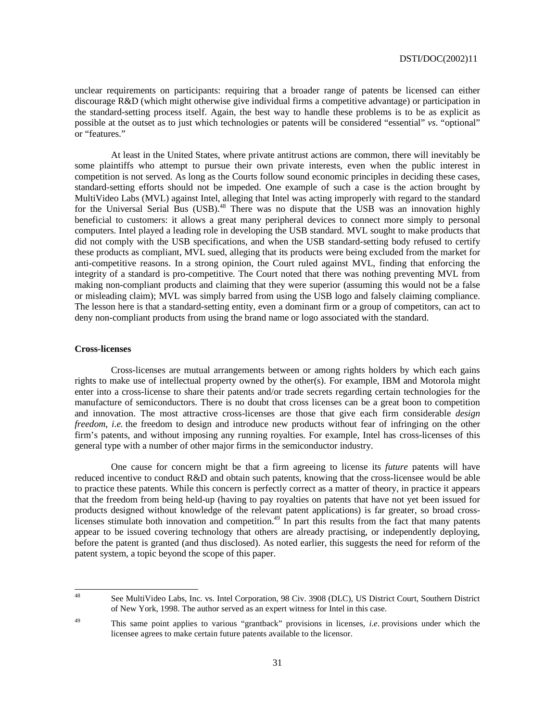unclear requirements on participants: requiring that a broader range of patents be licensed can either discourage R&D (which might otherwise give individual firms a competitive advantage) or participation in the standard-setting process itself. Again, the best way to handle these problems is to be as explicit as possible at the outset as to just which technologies or patents will be considered "essential" *vs*. "optional" or "features."

 At least in the United States, where private antitrust actions are common, there will inevitably be some plaintiffs who attempt to pursue their own private interests, even when the public interest in competition is not served. As long as the Courts follow sound economic principles in deciding these cases, standard-setting efforts should not be impeded. One example of such a case is the action brought by MultiVideo Labs (MVL) against Intel, alleging that Intel was acting improperly with regard to the standard for the Universal Serial Bus (USB).<sup>48</sup> There was no dispute that the USB was an innovation highly beneficial to customers: it allows a great many peripheral devices to connect more simply to personal computers. Intel played a leading role in developing the USB standard. MVL sought to make products that did not comply with the USB specifications, and when the USB standard-setting body refused to certify these products as compliant, MVL sued, alleging that its products were being excluded from the market for anti-competitive reasons. In a strong opinion, the Court ruled against MVL, finding that enforcing the integrity of a standard is pro-competitive. The Court noted that there was nothing preventing MVL from making non-compliant products and claiming that they were superior (assuming this would not be a false or misleading claim); MVL was simply barred from using the USB logo and falsely claiming compliance. The lesson here is that a standard-setting entity, even a dominant firm or a group of competitors, can act to deny non-compliant products from using the brand name or logo associated with the standard.

#### **Cross-licenses**

 Cross-licenses are mutual arrangements between or among rights holders by which each gains rights to make use of intellectual property owned by the other(s). For example, IBM and Motorola might enter into a cross-license to share their patents and/or trade secrets regarding certain technologies for the manufacture of semiconductors. There is no doubt that cross licenses can be a great boon to competition and innovation. The most attractive cross-licenses are those that give each firm considerable *design freedom*, *i.e.* the freedom to design and introduce new products without fear of infringing on the other firm's patents, and without imposing any running royalties. For example, Intel has cross-licenses of this general type with a number of other major firms in the semiconductor industry.

 One cause for concern might be that a firm agreeing to license its *future* patents will have reduced incentive to conduct R&D and obtain such patents, knowing that the cross-licensee would be able to practice these patents. While this concern is perfectly correct as a matter of theory, in practice it appears that the freedom from being held-up (having to pay royalties on patents that have not yet been issued for products designed without knowledge of the relevant patent applications) is far greater, so broad crosslicenses stimulate both innovation and competition.<sup>49</sup> In part this results from the fact that many patents appear to be issued covering technology that others are already practising, or independently deploying, before the patent is granted (and thus disclosed). As noted earlier, this suggests the need for reform of the patent system, a topic beyond the scope of this paper.

<sup>48</sup> See MultiVideo Labs, Inc. vs. Intel Corporation, 98 Civ. 3908 (DLC), US District Court, Southern District of New York, 1998. The author served as an expert witness for Intel in this case.

<sup>49</sup> This same point applies to various "grantback" provisions in licenses, *i.e*. provisions under which the licensee agrees to make certain future patents available to the licensor.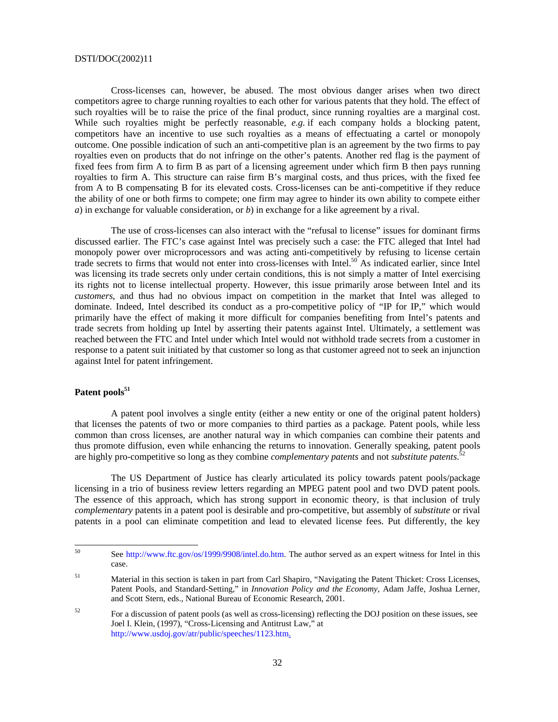Cross-licenses can, however, be abused. The most obvious danger arises when two direct competitors agree to charge running royalties to each other for various patents that they hold. The effect of such royalties will be to raise the price of the final product, since running royalties are a marginal cost. While such royalties might be perfectly reasonable, *e.g.* if each company holds a blocking patent, competitors have an incentive to use such royalties as a means of effectuating a cartel or monopoly outcome. One possible indication of such an anti-competitive plan is an agreement by the two firms to pay royalties even on products that do not infringe on the other's patents. Another red flag is the payment of fixed fees from firm A to firm B as part of a licensing agreement under which firm B then pays running royalties to firm A. This structure can raise firm B's marginal costs, and thus prices, with the fixed fee from A to B compensating B for its elevated costs. Cross-licenses can be anti-competitive if they reduce the ability of one or both firms to compete; one firm may agree to hinder its own ability to compete either *a*) in exchange for valuable consideration, or *b*) in exchange for a like agreement by a rival.

 The use of cross-licenses can also interact with the "refusal to license" issues for dominant firms discussed earlier. The FTC's case against Intel was precisely such a case: the FTC alleged that Intel had monopoly power over microprocessors and was acting anti-competitively by refusing to license certain trade secrets to firms that would not enter into cross-licenses with Intel.<sup>50</sup> As indicated earlier, since Intel was licensing its trade secrets only under certain conditions, this is not simply a matter of Intel exercising its rights not to license intellectual property. However, this issue primarily arose between Intel and its *customers*, and thus had no obvious impact on competition in the market that Intel was alleged to dominate. Indeed, Intel described its conduct as a pro-competitive policy of "IP for IP," which would primarily have the effect of making it more difficult for companies benefiting from Intel's patents and trade secrets from holding up Intel by asserting their patents against Intel. Ultimately, a settlement was reached between the FTC and Intel under which Intel would not withhold trade secrets from a customer in response to a patent suit initiated by that customer so long as that customer agreed not to seek an injunction against Intel for patent infringement.

### Patent pools<sup>51</sup>

 A patent pool involves a single entity (either a new entity or one of the original patent holders) that licenses the patents of two or more companies to third parties as a package. Patent pools, while less common than cross licenses, are another natural way in which companies can combine their patents and thus promote diffusion, even while enhancing the returns to innovation. Generally speaking, patent pools are highly pro-competitive so long as they combine *complementary patents* and not *substitute patents*. 52

 The US Department of Justice has clearly articulated its policy towards patent pools/package licensing in a trio of business review letters regarding an MPEG patent pool and two DVD patent pools. The essence of this approach, which has strong support in economic theory, is that inclusion of truly *complementary* patents in a patent pool is desirable and pro-competitive, but assembly of *substitute* or rival patents in a pool can eliminate competition and lead to elevated license fees. Put differently, the key

<sup>50</sup> 50 See http://www.ftc.gov/os/1999/9908/intel.do.htm. The author served as an expert witness for Intel in this case.

<sup>51</sup> Material in this section is taken in part from Carl Shapiro, "Navigating the Patent Thicket: Cross Licenses, Patent Pools, and Standard-Setting," in *Innovation Policy and the Economy*, Adam Jaffe, Joshua Lerner, and Scott Stern, eds., National Bureau of Economic Research, 2001.

 $52$  For a discussion of patent pools (as well as cross-licensing) reflecting the DOJ position on these issues, see Joel I. Klein, (1997), "Cross-Licensing and Antitrust Law," at http://www.usdoj.gov/atr/public/speeches/1123.htm.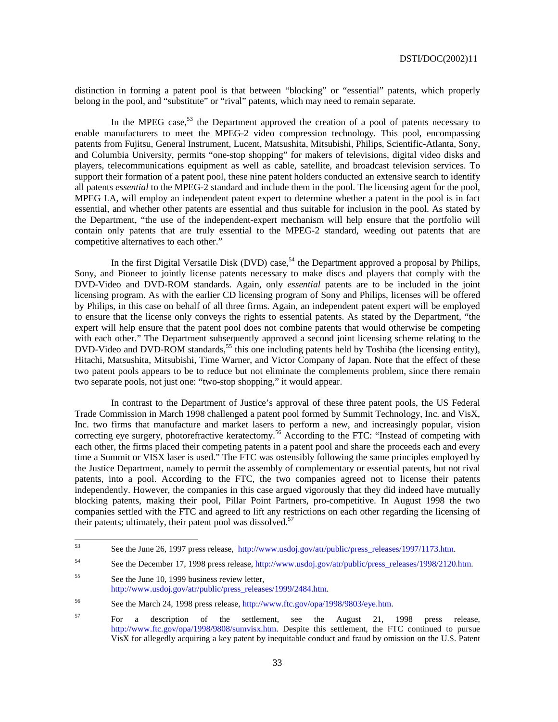distinction in forming a patent pool is that between "blocking" or "essential" patents, which properly belong in the pool, and "substitute" or "rival" patents, which may need to remain separate.

In the MPEG case, $53$  the Department approved the creation of a pool of patents necessary to enable manufacturers to meet the MPEG-2 video compression technology. This pool, encompassing patents from Fujitsu, General Instrument, Lucent, Matsushita, Mitsubishi, Philips, Scientific-Atlanta, Sony, and Columbia University, permits "one-stop shopping" for makers of televisions, digital video disks and players, telecommunications equipment as well as cable, satellite, and broadcast television services. To support their formation of a patent pool, these nine patent holders conducted an extensive search to identify all patents *essential* to the MPEG-2 standard and include them in the pool. The licensing agent for the pool, MPEG LA, will employ an independent patent expert to determine whether a patent in the pool is in fact essential, and whether other patents are essential and thus suitable for inclusion in the pool. As stated by the Department, "the use of the independent-expert mechanism will help ensure that the portfolio will contain only patents that are truly essential to the MPEG-2 standard, weeding out patents that are competitive alternatives to each other."

In the first Digital Versatile Disk (DVD) case,<sup>54</sup> the Department approved a proposal by Philips, Sony, and Pioneer to jointly license patents necessary to make discs and players that comply with the DVD-Video and DVD-ROM standards. Again, only *essential* patents are to be included in the joint licensing program. As with the earlier CD licensing program of Sony and Philips, licenses will be offered by Philips, in this case on behalf of all three firms. Again, an independent patent expert will be employed to ensure that the license only conveys the rights to essential patents. As stated by the Department, "the expert will help ensure that the patent pool does not combine patents that would otherwise be competing with each other." The Department subsequently approved a second joint licensing scheme relating to the DVD-Video and DVD-ROM standards,<sup>55</sup> this one including patents held by Toshiba (the licensing entity), Hitachi, Matsushita, Mitsubishi, Time Warner, and Victor Company of Japan. Note that the effect of these two patent pools appears to be to reduce but not eliminate the complements problem, since there remain two separate pools, not just one: "two-stop shopping," it would appear.

 In contrast to the Department of Justice's approval of these three patent pools, the US Federal Trade Commission in March 1998 challenged a patent pool formed by Summit Technology, Inc. and VisX, Inc. two firms that manufacture and market lasers to perform a new, and increasingly popular, vision correcting eye surgery, photorefractive keratectomy.<sup>56</sup> According to the FTC: "Instead of competing with each other, the firms placed their competing patents in a patent pool and share the proceeds each and every time a Summit or VISX laser is used." The FTC was ostensibly following the same principles employed by the Justice Department, namely to permit the assembly of complementary or essential patents, but not rival patents, into a pool. According to the FTC, the two companies agreed not to license their patents independently. However, the companies in this case argued vigorously that they did indeed have mutually blocking patents, making their pool, Pillar Point Partners, pro-competitive. In August 1998 the two companies settled with the FTC and agreed to lift any restrictions on each other regarding the licensing of their patents; ultimately, their patent pool was dissolved.<sup>57</sup>

<sup>53</sup> See the June 26, 1997 press release, http://www.usdoj.gov/atr/public/press\_releases/1997/1173.htm.

<sup>54</sup> See the December 17, 1998 press release, http://www.usdoj.gov/atr/public/press\_releases/1998/2120.htm.

<sup>55</sup> See the June 10, 1999 business review letter, http://www.usdoj.gov/atr/public/press\_releases/1999/2484.htm.

<sup>56</sup> See the March 24, 1998 press release, http://www.ftc.gov/opa/1998/9803/eye.htm.

 $57$  For a description of the settlement, see the August 21, 1998 press release, http://www.ftc.gov/opa/1998/9808/sumvisx.htm. Despite this settlement, the FTC continued to pursue VisX for allegedly acquiring a key patent by inequitable conduct and fraud by omission on the U.S. Patent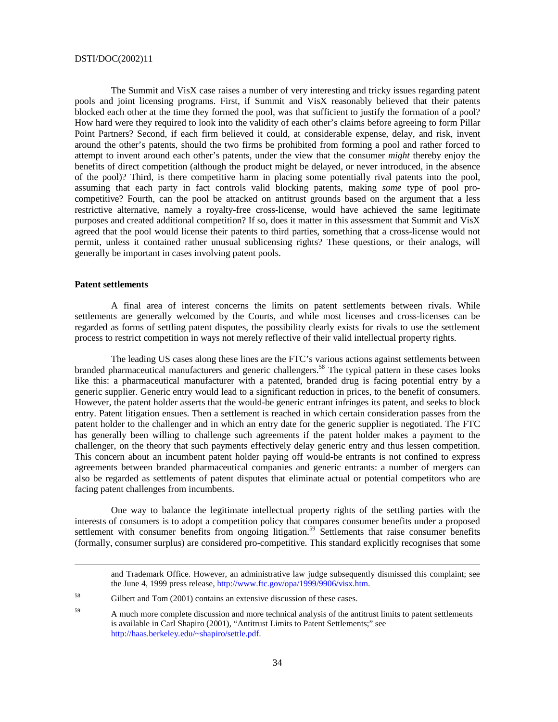The Summit and VisX case raises a number of very interesting and tricky issues regarding patent pools and joint licensing programs. First, if Summit and VisX reasonably believed that their patents blocked each other at the time they formed the pool, was that sufficient to justify the formation of a pool? How hard were they required to look into the validity of each other's claims before agreeing to form Pillar Point Partners? Second, if each firm believed it could, at considerable expense, delay, and risk, invent around the other's patents, should the two firms be prohibited from forming a pool and rather forced to attempt to invent around each other's patents, under the view that the consumer *might* thereby enjoy the benefits of direct competition (although the product might be delayed, or never introduced, in the absence of the pool)? Third, is there competitive harm in placing some potentially rival patents into the pool, assuming that each party in fact controls valid blocking patents, making *some* type of pool procompetitive? Fourth, can the pool be attacked on antitrust grounds based on the argument that a less restrictive alternative, namely a royalty-free cross-license, would have achieved the same legitimate purposes and created additional competition? If so, does it matter in this assessment that Summit and VisX agreed that the pool would license their patents to third parties, something that a cross-license would not permit, unless it contained rather unusual sublicensing rights? These questions, or their analogs, will generally be important in cases involving patent pools.

#### **Patent settlements**

 $\overline{a}$ 

 A final area of interest concerns the limits on patent settlements between rivals. While settlements are generally welcomed by the Courts, and while most licenses and cross-licenses can be regarded as forms of settling patent disputes, the possibility clearly exists for rivals to use the settlement process to restrict competition in ways not merely reflective of their valid intellectual property rights.

 The leading US cases along these lines are the FTC's various actions against settlements between branded pharmaceutical manufacturers and generic challengers.<sup>58</sup> The typical pattern in these cases looks like this: a pharmaceutical manufacturer with a patented, branded drug is facing potential entry by a generic supplier. Generic entry would lead to a significant reduction in prices, to the benefit of consumers. However, the patent holder asserts that the would-be generic entrant infringes its patent, and seeks to block entry. Patent litigation ensues. Then a settlement is reached in which certain consideration passes from the patent holder to the challenger and in which an entry date for the generic supplier is negotiated. The FTC has generally been willing to challenge such agreements if the patent holder makes a payment to the challenger, on the theory that such payments effectively delay generic entry and thus lessen competition. This concern about an incumbent patent holder paying off would-be entrants is not confined to express agreements between branded pharmaceutical companies and generic entrants: a number of mergers can also be regarded as settlements of patent disputes that eliminate actual or potential competitors who are facing patent challenges from incumbents.

 One way to balance the legitimate intellectual property rights of the settling parties with the interests of consumers is to adopt a competition policy that compares consumer benefits under a proposed settlement with consumer benefits from ongoing litigation.<sup>59</sup> Settlements that raise consumer benefits (formally, consumer surplus) are considered pro-competitive. This standard explicitly recognises that some

and Trademark Office. However, an administrative law judge subsequently dismissed this complaint; see the June 4, 1999 press release, http://www.ftc.gov/opa/1999/9906/visx.htm.

<sup>58</sup> Gilbert and Tom (2001) contains an extensive discussion of these cases.

<sup>&</sup>lt;sup>59</sup> A much more complete discussion and more technical analysis of the antitrust limits to patent settlements is available in Carl Shapiro (2001), "Antitrust Limits to Patent Settlements;" see http://haas.berkeley.edu/~shapiro/settle.pdf.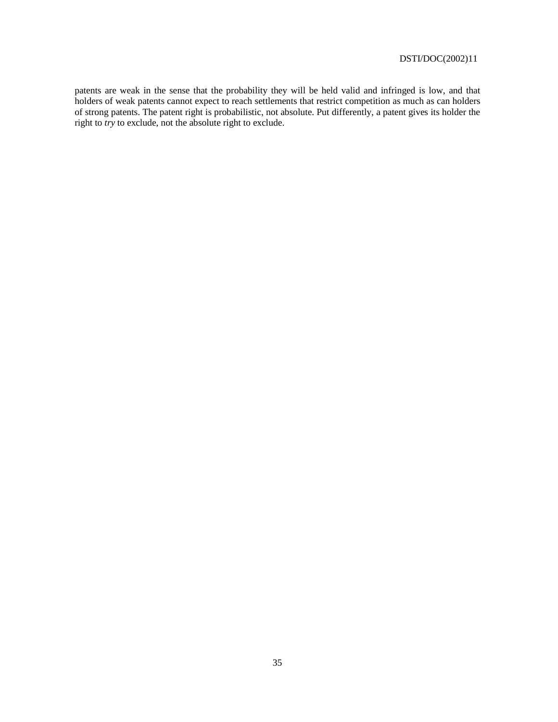patents are weak in the sense that the probability they will be held valid and infringed is low, and that holders of weak patents cannot expect to reach settlements that restrict competition as much as can holders of strong patents. The patent right is probabilistic, not absolute. Put differently, a patent gives its holder the right to *try* to exclude, not the absolute right to exclude.